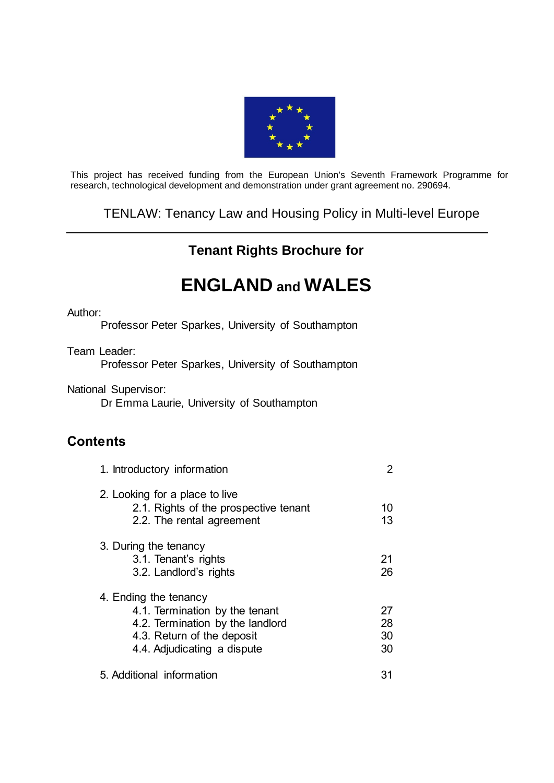

This project has received funding from the European Union's Seventh Framework Programme for research, technological development and demonstration under grant agreement no. 290694.

## TENLAW: Tenancy Law and Housing Policy in Multi-level Europe

# **Tenant Rights Brochure for**

# **ENGLAND and WALES**

#### Author:

Professor Peter Sparkes, University of Southampton

Team Leader:

Professor Peter Sparkes, University of Southampton

National Supervisor:

Dr Emma Laurie, University of Southampton

## **Contents**

| 1. Introductory information                                                                                                                              | 2        |  |
|----------------------------------------------------------------------------------------------------------------------------------------------------------|----------|--|
| 2. Looking for a place to live<br>2.1. Rights of the prospective tenant<br>2.2. The rental agreement                                                     | 10<br>13 |  |
| 3. During the tenancy<br>3.1. Tenant's rights<br>3.2. Landlord's rights                                                                                  | 21<br>26 |  |
| 4. Ending the tenancy<br>4.1. Termination by the tenant<br>4.2. Termination by the landlord<br>4.3. Return of the deposit<br>4.4. Adjudicating a dispute |          |  |
| 5. Additional information                                                                                                                                | 31       |  |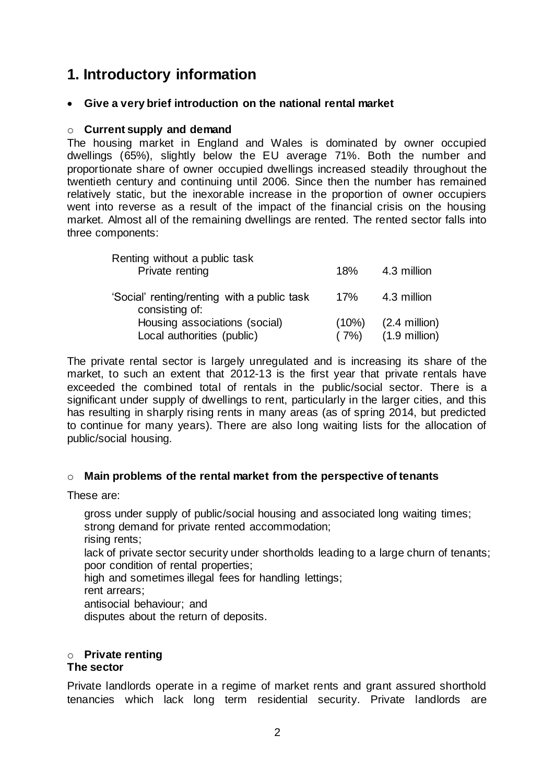# **1. Introductory information**

### **Give a very brief introduction on the national rental market**

### o **Current supply and demand**

The housing market in England and Wales is dominated by owner occupied dwellings (65%), slightly below the EU average 71%. Both the number and proportionate share of owner occupied dwellings increased steadily throughout the twentieth century and continuing until 2006. Since then the number has remained relatively static, but the inexorable increase in the proportion of owner occupiers went into reverse as a result of the impact of the financial crisis on the housing market. Almost all of the remaining dwellings are rented. The rented sector falls into three components:

| Renting without a public task<br>Private renting              | 18%      | 4.3 million             |  |
|---------------------------------------------------------------|----------|-------------------------|--|
| 'Social' renting/renting with a public task<br>consisting of: | 17%      | 4.3 million             |  |
| Housing associations (social)                                 | $(10\%)$ | $(2.4$ million)         |  |
| Local authorities (public)                                    | (7%)     | $(1.9 \text{ million})$ |  |

The private rental sector is largely unregulated and is increasing its share of the market, to such an extent that 2012-13 is the first year that private rentals have exceeded the combined total of rentals in the public/social sector. There is a significant under supply of dwellings to rent, particularly in the larger cities, and this has resulting in sharply rising rents in many areas (as of spring 2014, but predicted to continue for many years). There are also long waiting lists for the allocation of public/social housing.

### o **Main problems of the rental market from the perspective of tenants**

These are:

gross under supply of public/social housing and associated long waiting times; strong demand for private rented accommodation; rising rents; lack of private sector security under shortholds leading to a large churn of tenants; poor condition of rental properties; high and sometimes illegal fees for handling lettings; rent arrears;

antisocial behaviour; and

disputes about the return of deposits.

#### o **Private renting The sector**

Private landlords operate in a regime of market rents and grant assured shorthold tenancies which lack long term residential security. Private landlords are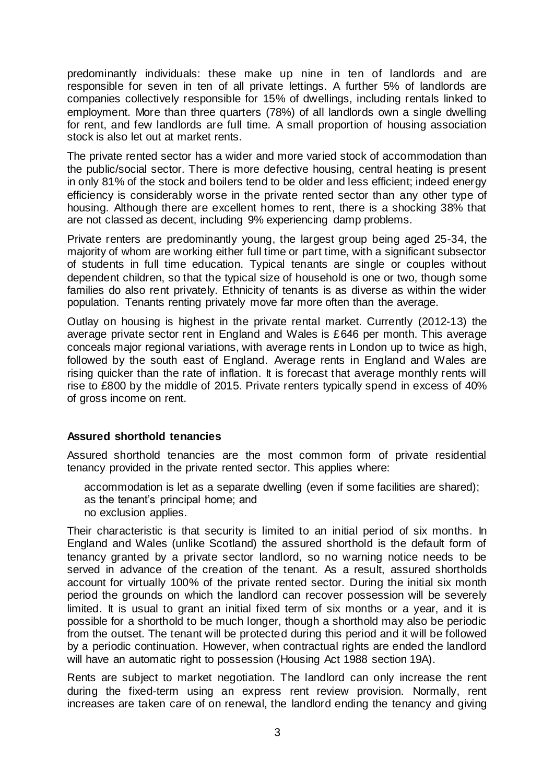predominantly individuals: these make up nine in ten of landlords and are responsible for seven in ten of all private lettings. A further 5% of landlords are companies collectively responsible for 15% of dwellings, including rentals linked to employment. More than three quarters (78%) of all landlords own a single dwelling for rent, and few landlords are full time. A small proportion of housing association stock is also let out at market rents.

The private rented sector has a wider and more varied stock of accommodation than the public/social sector. There is more defective housing, central heating is present in only 81% of the stock and boilers tend to be older and less efficient; indeed energy efficiency is considerably worse in the private rented sector than any other type of housing. Although there are excellent homes to rent, there is a shocking 38% that are not classed as decent, including 9% experiencing damp problems.

Private renters are predominantly young, the largest group being aged 25-34, the majority of whom are working either full time or part time, with a significant subsector of students in full time education. Typical tenants are single or couples without dependent children, so that the typical size of household is one or two, though some families do also rent privately. Ethnicity of tenants is as diverse as within the wider population. Tenants renting privately move far more often than the average.

Outlay on housing is highest in the private rental market. Currently (2012-13) the average private sector rent in England and Wales is £646 per month. This average conceals major regional variations, with average rents in London up to twice as high, followed by the south east of England. Average rents in England and Wales are rising quicker than the rate of inflation. It is forecast that average monthly rents will rise to £800 by the middle of 2015. Private renters typically spend in excess of 40% of gross income on rent.

### **Assured shorthold tenancies**

Assured shorthold tenancies are the most common form of private residential tenancy provided in the private rented sector. This applies where:

accommodation is let as a separate dwelling (even if some facilities are shared); as the tenant's principal home; and no exclusion applies.

Their characteristic is that security is limited to an initial period of six months. In England and Wales (unlike Scotland) the assured shorthold is the default form of tenancy granted by a private sector landlord, so no warning notice needs to be served in advance of the creation of the tenant. As a result, assured shortholds account for virtually 100% of the private rented sector. During the initial six month period the grounds on which the landlord can recover possession will be severely limited. It is usual to grant an initial fixed term of six months or a year, and it is possible for a shorthold to be much longer, though a shorthold may also be periodic from the outset. The tenant will be protected during this period and it will be followed by a periodic continuation. However, when contractual rights are ended the landlord will have an automatic right to possession (Housing Act 1988 section 19A).

Rents are subject to market negotiation. The landlord can only increase the rent during the fixed-term using an express rent review provision. Normally, rent increases are taken care of on renewal, the landlord ending the tenancy and giving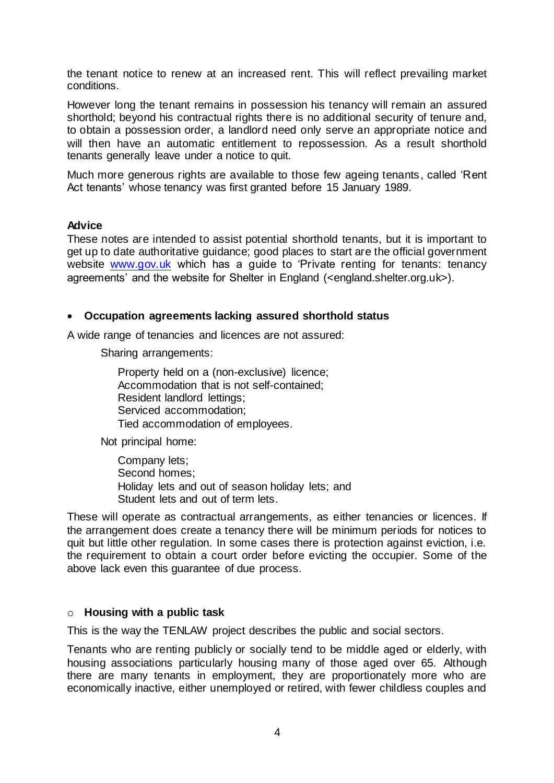the tenant notice to renew at an increased rent. This will reflect prevailing market conditions.

However long the tenant remains in possession his tenancy will remain an assured shorthold; beyond his contractual rights there is no additional security of tenure and, to obtain a possession order, a landlord need only serve an appropriate notice and will then have an automatic entitlement to repossession. As a result shorthold tenants generally leave under a notice to quit.

Much more generous rights are available to those few ageing tenants, called 'Rent Act tenants' whose tenancy was first granted before 15 January 1989.

#### **Advice**

These notes are intended to assist potential shorthold tenants, but it is important to get up to date authoritative guidance; good places to start are the official government website [www.gov.uk](http://www.gov.uk/) which has a guide to 'Private renting for tenants: tenancy agreements' and the website for Shelter in England (<england.shelter.org.uk>).

### **Occupation agreements lacking assured shorthold status**

A wide range of tenancies and licences are not assured:

Sharing arrangements:

Property held on a (non-exclusive) licence; Accommodation that is not self-contained; Resident landlord lettings; Serviced accommodation; Tied accommodation of employees.

Not principal home:

Company lets; Second homes; Holiday lets and out of season holiday lets; and Student lets and out of term lets.

These will operate as contractual arrangements, as either tenancies or licences. If the arrangement does create a tenancy there will be minimum periods for notices to quit but little other regulation. In some cases there is protection against eviction, i.e. the requirement to obtain a court order before evicting the occupier. Some of the above lack even this guarantee of due process.

#### o **Housing with a public task**

This is the way the TENLAW project describes the public and social sectors.

Tenants who are renting publicly or socially tend to be middle aged or elderly, with housing associations particularly housing many of those aged over 65. Although there are many tenants in employment, they are proportionately more who are economically inactive, either unemployed or retired, with fewer childless couples and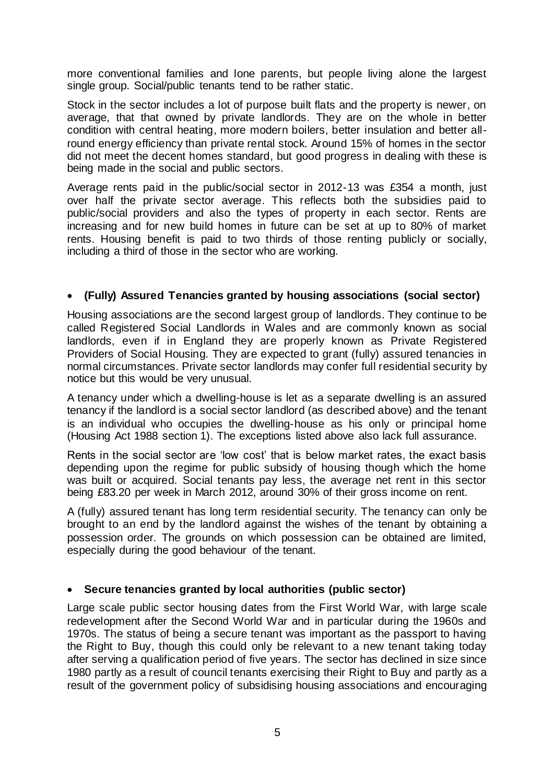more conventional families and lone parents, but people living alone the largest single group. Social/public tenants tend to be rather static.

Stock in the sector includes a lot of purpose built flats and the property is newer, on average, that that owned by private landlords. They are on the whole in better condition with central heating, more modern boilers, better insulation and better allround energy efficiency than private rental stock. Around 15% of homes in the sector did not meet the decent homes standard, but good progress in dealing with these is being made in the social and public sectors.

Average rents paid in the public/social sector in 2012-13 was £354 a month, just over half the private sector average. This reflects both the subsidies paid to public/social providers and also the types of property in each sector. Rents are increasing and for new build homes in future can be set at up to 80% of market rents. Housing benefit is paid to two thirds of those renting publicly or socially, including a third of those in the sector who are working.

### **(Fully) Assured Tenancies granted by housing associations (social sector)**

Housing associations are the second largest group of landlords. They continue to be called Registered Social Landlords in Wales and are commonly known as social landlords, even if in England they are properly known as Private Registered Providers of Social Housing. They are expected to grant (fully) assured tenancies in normal circumstances. Private sector landlords may confer full residential security by notice but this would be very unusual.

A tenancy under which a dwelling-house is let as a separate dwelling is an assured tenancy if the landlord is a social sector landlord (as described above) and the tenant is an individual who occupies the dwelling-house as his only or principal home (Housing Act 1988 section 1). The exceptions listed above also lack full assurance.

Rents in the social sector are 'low cost' that is below market rates, the exact basis depending upon the regime for public subsidy of housing though which the home was built or acquired. Social tenants pay less, the average net rent in this sector being £83.20 per week in March 2012, around 30% of their gross income on rent.

A (fully) assured tenant has long term residential security. The tenancy can only be brought to an end by the landlord against the wishes of the tenant by obtaining a possession order. The grounds on which possession can be obtained are limited, especially during the good behaviour of the tenant.

### **Secure tenancies granted by local authorities (public sector)**

Large scale public sector housing dates from the First World War, with large scale redevelopment after the Second World War and in particular during the 1960s and 1970s. The status of being a secure tenant was important as the passport to having the Right to Buy, though this could only be relevant to a new tenant taking today after serving a qualification period of five years. The sector has declined in size since 1980 partly as a result of council tenants exercising their Right to Buy and partly as a result of the government policy of subsidising housing associations and encouraging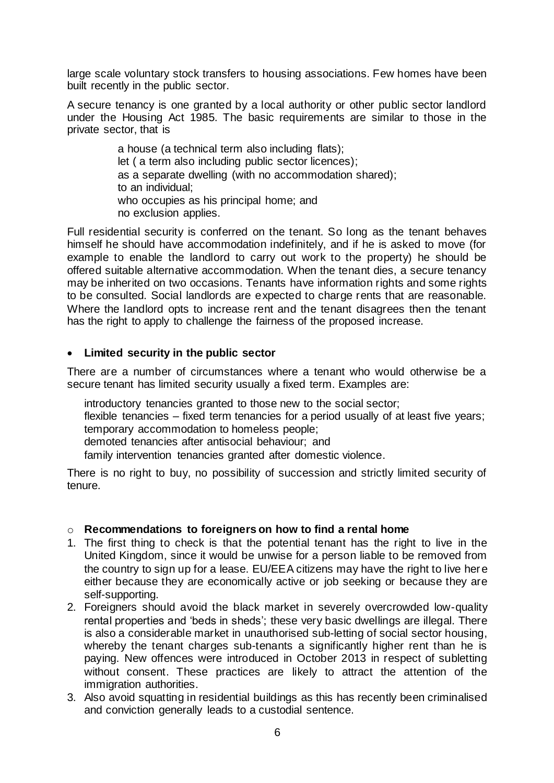large scale voluntary stock transfers to housing associations. Few homes have been built recently in the public sector.

A secure tenancy is one granted by a local authority or other public sector landlord under the Housing Act 1985. The basic requirements are similar to those in the private sector, that is

> a house (a technical term also including flats); let ( a term also including public sector licences); as a separate dwelling (with no accommodation shared); to an individual; who occupies as his principal home; and no exclusion applies.

Full residential security is conferred on the tenant. So long as the tenant behaves himself he should have accommodation indefinitely, and if he is asked to move (for example to enable the landlord to carry out work to the property) he should be offered suitable alternative accommodation. When the tenant dies, a secure tenancy may be inherited on two occasions. Tenants have information rights and some rights to be consulted. Social landlords are expected to charge rents that are reasonable. Where the landlord opts to increase rent and the tenant disagrees then the tenant has the right to apply to challenge the fairness of the proposed increase.

### **Limited security in the public sector**

There are a number of circumstances where a tenant who would otherwise be a secure tenant has limited security usually a fixed term. Examples are:

introductory tenancies granted to those new to the social sector; flexible tenancies – fixed term tenancies for a period usually of at least five years; temporary accommodation to homeless people;

demoted tenancies after antisocial behaviour; and

family intervention tenancies granted after domestic violence.

There is no right to buy, no possibility of succession and strictly limited security of tenure.

### o **Recommendations to foreigners on how to find a rental home**

- 1. The first thing to check is that the potential tenant has the right to live in the United Kingdom, since it would be unwise for a person liable to be removed from the country to sign up for a lease. EU/EEA citizens may have the right to live here either because they are economically active or job seeking or because they are self-supporting.
- 2. Foreigners should avoid the black market in severely overcrowded low-quality rental properties and 'beds in sheds'; these very basic dwellings are illegal. There is also a considerable market in unauthorised sub-letting of social sector housing, whereby the tenant charges sub-tenants a significantly higher rent than he is paying. New offences were introduced in October 2013 in respect of subletting without consent. These practices are likely to attract the attention of the immigration authorities.
- 3. Also avoid squatting in residential buildings as this has recently been criminalised and conviction generally leads to a custodial sentence.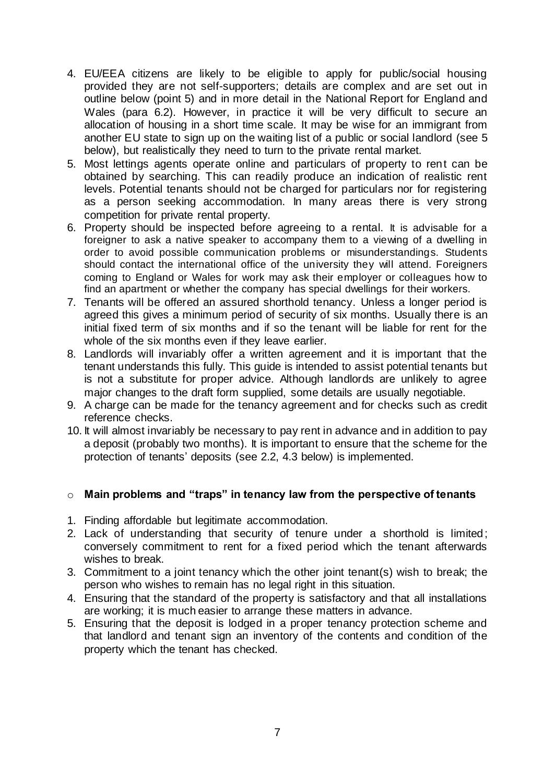- 4. EU/EEA citizens are likely to be eligible to apply for public/social housing provided they are not self-supporters; details are complex and are set out in outline below (point 5) and in more detail in the National Report for England and Wales (para 6.2). However, in practice it will be very difficult to secure an allocation of housing in a short time scale. It may be wise for an immigrant from another EU state to sign up on the waiting list of a public or social landlord (see 5 below), but realistically they need to turn to the private rental market.
- 5. Most lettings agents operate online and particulars of property to rent can be obtained by searching. This can readily produce an indication of realistic rent levels. Potential tenants should not be charged for particulars nor for registering as a person seeking accommodation. In many areas there is very strong competition for private rental property.
- 6. Property should be inspected before agreeing to a rental. It is advisable for a foreigner to ask a native speaker to accompany them to a viewing of a dwelling in order to avoid possible communication problems or misunderstandings. Students should contact the international office of the university they will attend. Foreigners coming to England or Wales for work may ask their employer or colleagues how to find an apartment or whether the company has special dwellings for their workers.
- 7. Tenants will be offered an assured shorthold tenancy. Unless a longer period is agreed this gives a minimum period of security of six months. Usually there is an initial fixed term of six months and if so the tenant will be liable for rent for the whole of the six months even if they leave earlier.
- 8. Landlords will invariably offer a written agreement and it is important that the tenant understands this fully. This guide is intended to assist potential tenants but is not a substitute for proper advice. Although landlords are unlikely to agree major changes to the draft form supplied, some details are usually negotiable.
- 9. A charge can be made for the tenancy agreement and for checks such as credit reference checks.
- 10. It will almost invariably be necessary to pay rent in advance and in addition to pay a deposit (probably two months). It is important to ensure that the scheme for the protection of tenants' deposits (see 2.2, 4.3 below) is implemented.

### o **Main problems and "traps" in tenancy law from the perspective of tenants**

- 1. Finding affordable but legitimate accommodation.
- 2. Lack of understanding that security of tenure under a shorthold is limited; conversely commitment to rent for a fixed period which the tenant afterwards wishes to break.
- 3. Commitment to a joint tenancy which the other joint tenant(s) wish to break; the person who wishes to remain has no legal right in this situation.
- 4. Ensuring that the standard of the property is satisfactory and that all installations are working; it is much easier to arrange these matters in advance.
- 5. Ensuring that the deposit is lodged in a proper tenancy protection scheme and that landlord and tenant sign an inventory of the contents and condition of the property which the tenant has checked.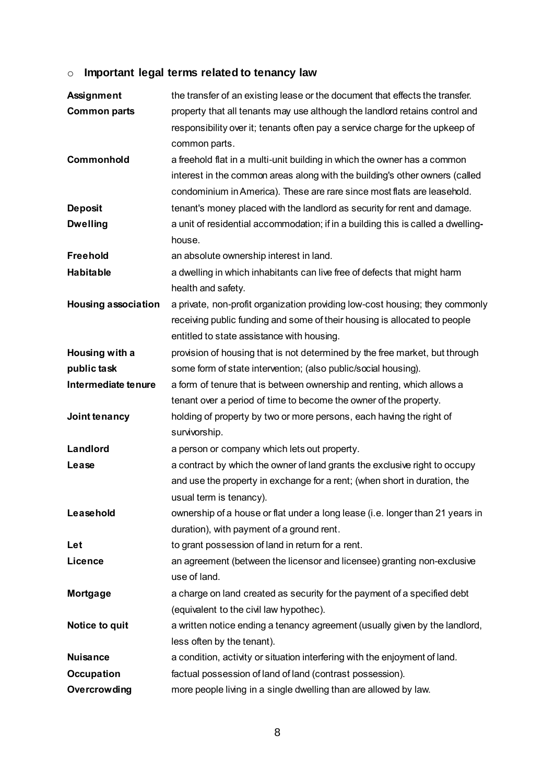# o **Important legal terms related to tenancy law**

| <b>Assignment</b>          | the transfer of an existing lease or the document that effects the transfer.     |  |
|----------------------------|----------------------------------------------------------------------------------|--|
| <b>Common parts</b>        | property that all tenants may use although the landlord retains control and      |  |
|                            | responsibility over it; tenants often pay a service charge for the upkeep of     |  |
|                            | common parts.                                                                    |  |
| Commonhold                 | a freehold flat in a multi-unit building in which the owner has a common         |  |
|                            | interest in the common areas along with the building's other owners (called      |  |
|                            | condominium in America). These are rare since most flats are leasehold.          |  |
| <b>Deposit</b>             | tenant's money placed with the landlord as security for rent and damage.         |  |
| <b>Dwelling</b>            | a unit of residential accommodation; if in a building this is called a dwelling- |  |
|                            | house.                                                                           |  |
| <b>Freehold</b>            | an absolute ownership interest in land.                                          |  |
| <b>Habitable</b>           | a dwelling in which inhabitants can live free of defects that might harm         |  |
|                            | health and safety.                                                               |  |
| <b>Housing association</b> | a private, non-profit organization providing low-cost housing; they commonly     |  |
|                            | receiving public funding and some of their housing is allocated to people        |  |
|                            | entitled to state assistance with housing.                                       |  |
| Housing with a             | provision of housing that is not determined by the free market, but through      |  |
| public task                | some form of state intervention; (also public/social housing).                   |  |
| Intermediate tenure        | a form of tenure that is between ownership and renting, which allows a           |  |
|                            | tenant over a period of time to become the owner of the property.                |  |
| Joint tenancy              | holding of property by two or more persons, each having the right of             |  |
|                            | survivorship.                                                                    |  |
| Landlord                   | a person or company which lets out property.                                     |  |
| Lease                      | a contract by which the owner of land grants the exclusive right to occupy       |  |
|                            | and use the property in exchange for a rent; (when short in duration, the        |  |
|                            | usual term is tenancy).                                                          |  |
| Leasehold                  | ownership of a house or flat under a long lease (i.e. longer than 21 years in    |  |
|                            | duration), with payment of a ground rent.                                        |  |
| Let                        | to grant possession of land in return for a rent.                                |  |
| Licence                    | an agreement (between the licensor and licensee) granting non-exclusive          |  |
|                            | use of land.                                                                     |  |
| Mortgage                   | a charge on land created as security for the payment of a specified debt         |  |
|                            | (equivalent to the civil law hypothec).                                          |  |
| Notice to quit             | a written notice ending a tenancy agreement (usually given by the landlord,      |  |
|                            | less often by the tenant).                                                       |  |
| <b>Nuisance</b>            | a condition, activity or situation interfering with the enjoyment of land.       |  |
| Occupation                 | factual possession of land of land (contrast possession).                        |  |
| Overcrowding               | more people living in a single dwelling than are allowed by law.                 |  |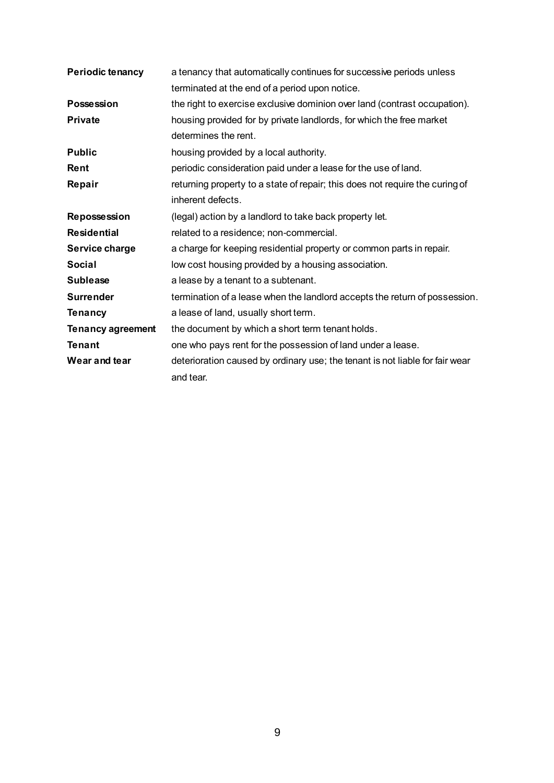| <b>Periodic tenancy</b>  | a tenancy that automatically continues for successive periods unless                              |  |  |
|--------------------------|---------------------------------------------------------------------------------------------------|--|--|
|                          | terminated at the end of a period upon notice.                                                    |  |  |
| <b>Possession</b>        | the right to exercise exclusive dominion over land (contrast occupation).                         |  |  |
| <b>Private</b>           | housing provided for by private landlords, for which the free market<br>determines the rent.      |  |  |
| <b>Public</b>            | housing provided by a local authority.                                                            |  |  |
| <b>Rent</b>              | periodic consideration paid under a lease for the use of land.                                    |  |  |
| Repair                   | returning property to a state of repair; this does not require the curing of<br>inherent defects. |  |  |
| <b>Repossession</b>      | (legal) action by a landlord to take back property let.                                           |  |  |
| <b>Residential</b>       | related to a residence; non-commercial.                                                           |  |  |
| Service charge           | a charge for keeping residential property or common parts in repair.                              |  |  |
| <b>Social</b>            | low cost housing provided by a housing association.                                               |  |  |
| <b>Sublease</b>          | a lease by a tenant to a subtenant.                                                               |  |  |
| <b>Surrender</b>         | termination of a lease when the landlord accepts the return of possession.                        |  |  |
| <b>Tenancy</b>           | a lease of land, usually short term.                                                              |  |  |
| <b>Tenancy agreement</b> | the document by which a short term tenant holds.                                                  |  |  |
| <b>Tenant</b>            | one who pays rent for the possession of land under a lease.                                       |  |  |
| Wear and tear            | deterioration caused by ordinary use; the tenant is not liable for fair wear                      |  |  |
|                          | and tear.                                                                                         |  |  |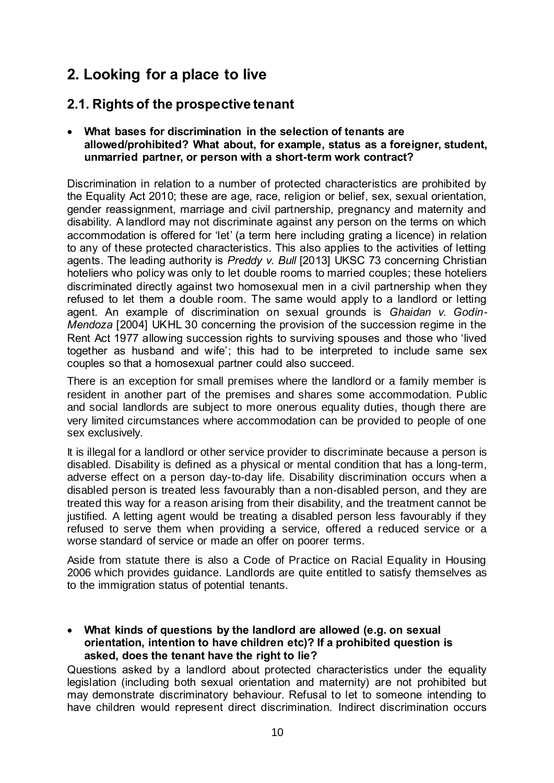# **2. Looking for a place to live**

# **2.1. Rights of the prospective tenant**

### **What bases for discrimination in the selection of tenants are allowed/prohibited? What about, for example, status as a foreigner, student, unmarried partner, or person with a short-term work contract?**

Discrimination in relation to a number of protected characteristics are prohibited by the Equality Act 2010; these are age, race, religion or belief, sex, sexual orientation, gender reassignment, marriage and civil partnership, pregnancy and maternity and disability. A landlord may not discriminate against any person on the terms on which accommodation is offered for 'let' (a term here including grating a licence) in relation to any of these protected characteristics. This also applies to the activities of letting agents. The leading authority is *Preddy v. Bull* [2013] UKSC 73 concerning Christian hoteliers who policy was only to let double rooms to married couples; these hoteliers discriminated directly against two homosexual men in a civil partnership when they refused to let them a double room. The same would apply to a landlord or letting agent. An example of discrimination on sexual grounds is *Ghaidan v. Godin-Mendoza* [2004] UKHL 30 concerning the provision of the succession regime in the Rent Act 1977 allowing succession rights to surviving spouses and those who 'lived together as husband and wife'; this had to be interpreted to include same sex couples so that a homosexual partner could also succeed.

There is an exception for small premises where the landlord or a family member is resident in another part of the premises and shares some accommodation. Public and social landlords are subject to more onerous equality duties, though there are very limited circumstances where accommodation can be provided to people of one sex exclusively.

It is illegal for a landlord or other service provider to discriminate because a person is disabled. Disability is defined as a physical or mental condition that has a long-term, adverse effect on a person day-to-day life. Disability discrimination occurs when a disabled person is treated less favourably than a non-disabled person, and they are treated this way for a reason arising from their disability, and the treatment cannot be justified. A letting agent would be treating a disabled person less favourably if they refused to serve them when providing a service, offered a reduced service or a worse standard of service or made an offer on poorer terms.

Aside from statute there is also a Code of Practice on Racial Equality in Housing 2006 which provides guidance. Landlords are quite entitled to satisfy themselves as to the immigration status of potential tenants.

 **What kinds of questions by the landlord are allowed (e.g. on sexual orientation, intention to have children etc)? If a prohibited question is asked, does the tenant have the right to lie?**

Questions asked by a landlord about protected characteristics under the equality legislation (including both sexual orientation and maternity) are not prohibited but may demonstrate discriminatory behaviour. Refusal to let to someone intending to have children would represent direct discrimination. Indirect discrimination occurs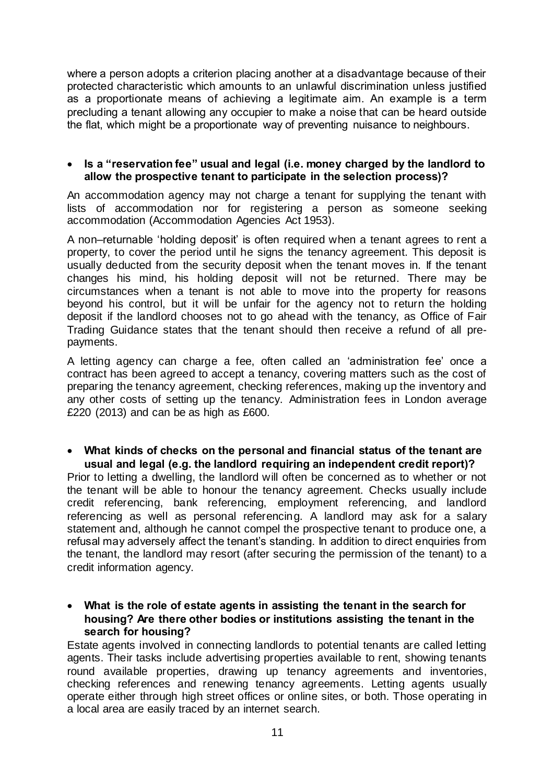where a person adopts a criterion placing another at a disadvantage because of their protected characteristic which amounts to an unlawful discrimination unless justified as a proportionate means of achieving a legitimate aim. An example is a term precluding a tenant allowing any occupier to make a noise that can be heard outside the flat, which might be a proportionate way of preventing nuisance to neighbours.

### **Is a "reservation fee" usual and legal (i.e. money charged by the landlord to allow the prospective tenant to participate in the selection process)?**

An accommodation agency may not charge a tenant for supplying the tenant with lists of accommodation nor for registering a person as someone seeking accommodation (Accommodation Agencies Act 1953).

A non–returnable 'holding deposit' is often required when a tenant agrees to rent a property, to cover the period until he signs the tenancy agreement. This deposit is usually deducted from the security deposit when the tenant moves in. If the tenant changes his mind, his holding deposit will not be returned. There may be circumstances when a tenant is not able to move into the property for reasons beyond his control, but it will be unfair for the agency not to return the holding deposit if the landlord chooses not to go ahead with the tenancy, as Office of Fair Trading Guidance states that the tenant should then receive a refund of all prepayments.

A letting agency can charge a fee, often called an 'administration fee' once a contract has been agreed to accept a tenancy, covering matters such as the cost of preparing the tenancy agreement, checking references, making up the inventory and any other costs of setting up the tenancy. Administration fees in London average £220 (2013) and can be as high as £600.

#### **What kinds of checks on the personal and financial status of the tenant are usual and legal (e.g. the landlord requiring an independent credit report)?**

Prior to letting a dwelling, the landlord will often be concerned as to whether or not the tenant will be able to honour the tenancy agreement. Checks usually include credit referencing, bank referencing, employment referencing, and landlord referencing as well as personal referencing. A landlord may ask for a salary statement and, although he cannot compel the prospective tenant to produce one, a refusal may adversely affect the tenant's standing. In addition to direct enquiries from the tenant, the landlord may resort (after securing the permission of the tenant) to a credit information agency.

### **What is the role of estate agents in assisting the tenant in the search for housing? Are there other bodies or institutions assisting the tenant in the search for housing?**

Estate agents involved in connecting landlords to potential tenants are called letting agents. Their tasks include advertising properties available to rent, showing tenants round available properties, drawing up [tenancy agreements](http://england.shelter.org.uk/get_advice/renting_and_leasehold/renting_agreements) and [inventories,](http://england.shelter.org.uk/get_advice/paying_for_a_home/tenancy_deposits/making_an_inventory) checking references and renewing tenancy agreements. Letting agents usually operate either through high street offices or online sites, or both. Those operating in a local area are easily traced by an internet search.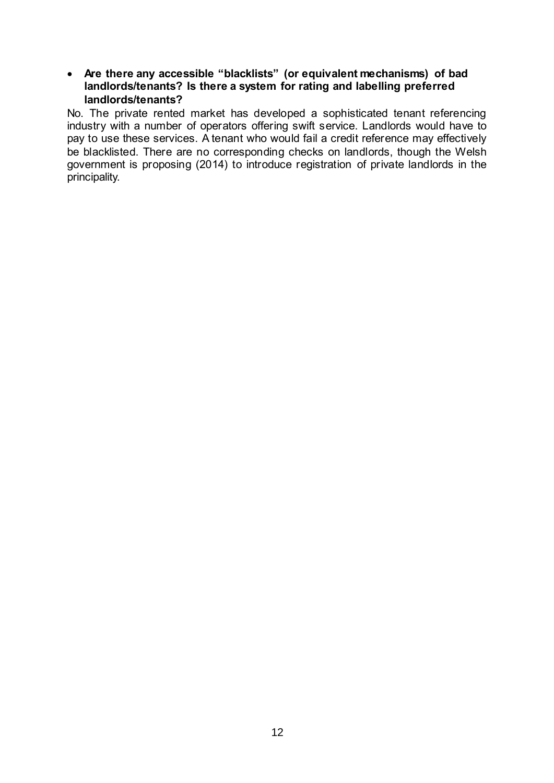### **Are there any accessible "blacklists" (or equivalent mechanisms) of bad landlords/tenants? Is there a system for rating and labelling preferred landlords/tenants?**

No. The private rented market has developed a sophisticated tenant referencing industry with a number of operators offering swift service. Landlords would have to pay to use these services. A tenant who would fail a credit reference may effectively be blacklisted. There are no corresponding checks on landlords, though the Welsh government is proposing (2014) to introduce registration of private landlords in the principality.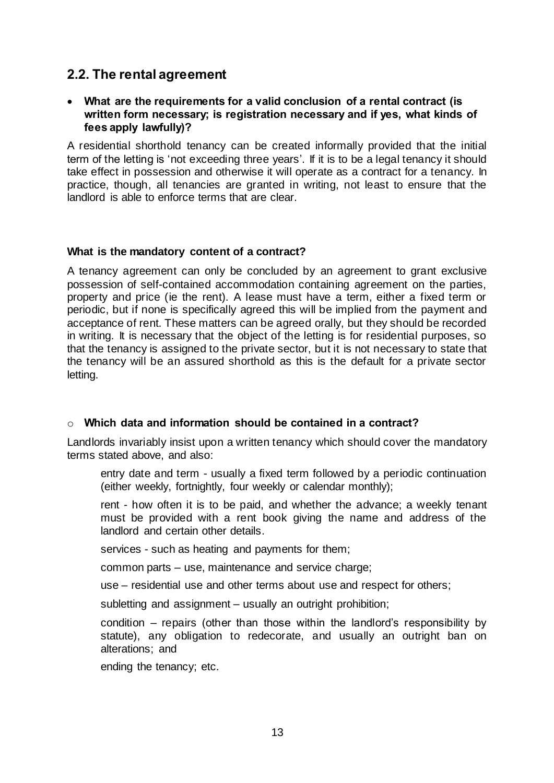## **2.2. The rental agreement**

### **What are the requirements for a valid conclusion of a rental contract (is written form necessary; is registration necessary and if yes, what kinds of fees apply lawfully)?**

A residential shorthold tenancy can be created informally provided that the initial term of the letting is 'not exceeding three years'. If it is to be a legal tenancy it should take effect in possession and otherwise it will operate as a contract for a tenancy. In practice, though, all tenancies are granted in writing, not least to ensure that the landlord is able to enforce terms that are clear.

#### **What is the mandatory content of a contract?**

A tenancy agreement can only be concluded by an agreement to grant exclusive possession of self-contained accommodation containing agreement on the parties, property and price (ie the rent). A lease must have a term, either a fixed term or periodic, but if none is specifically agreed this will be implied from the payment and acceptance of rent. These matters can be agreed orally, but they should be recorded in writing. It is necessary that the object of the letting is for residential purposes, so that the tenancy is assigned to the private sector, but it is not necessary to state that the tenancy will be an assured shorthold as this is the default for a private sector letting.

### o **Which data and information should be contained in a contract?**

Landlords invariably insist upon a written tenancy which should cover the mandatory terms stated above, and also:

entry date and term - usually a fixed term followed by a periodic continuation (either weekly, fortnightly, four weekly or calendar monthly);

rent - how often it is to be paid, and whether the advance; a weekly tenant must be provided with a rent book giving the name and address of the landlord and certain other details.

services - such as heating and payments for them;

common parts – use, maintenance and service charge;

use – residential use and other terms about use and respect for others;

subletting and assignment – usually an outright prohibition;

condition – repairs (other than those within the landlord's responsibility by statute), any obligation to redecorate, and usually an outright ban on alterations; and

ending the tenancy; etc.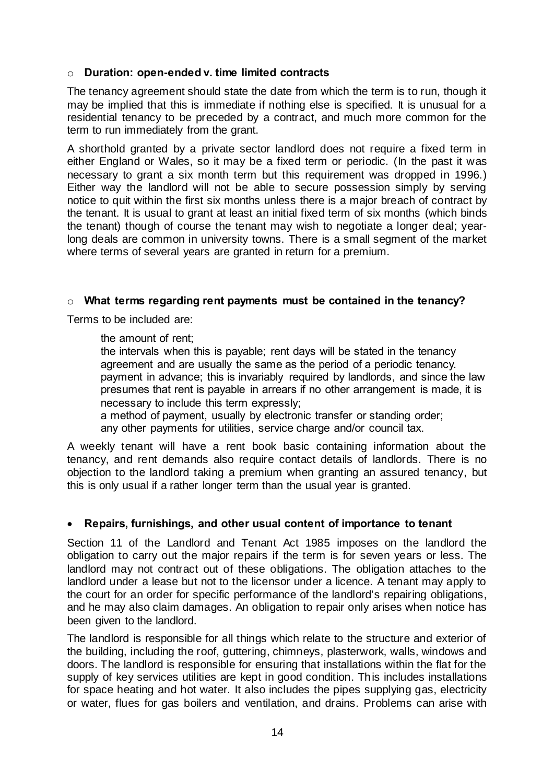### o **Duration: open-ended v. time limited contracts**

The tenancy agreement should state the date from which the term is to run, though it may be implied that this is immediate if nothing else is specified. It is unusual for a residential tenancy to be preceded by a contract, and much more common for the term to run immediately from the grant.

A shorthold granted by a private sector landlord does not require a fixed term in either England or Wales, so it may be a fixed term or periodic. (In the past it was necessary to grant a six month term but this requirement was dropped in 1996.) Either way the landlord will not be able to secure possession simply by serving notice to quit within the first six months unless there is a major breach of contract by the tenant. It is usual to grant at least an initial fixed term of six months (which binds the tenant) though of course the tenant may wish to negotiate a longer deal; yearlong deals are common in university towns. There is a small segment of the market where terms of several years are granted in return for a premium.

### o **What terms regarding rent payments must be contained in the tenancy?**

Terms to be included are:

the amount of rent;

the intervals when this is payable; rent days will be stated in the tenancy agreement and are usually the same as the period of a periodic tenancy. payment in advance; this is invariably required by landlords, and since the law presumes that rent is payable in arrears if no other arrangement is made, it is necessary to include this term expressly;

a method of payment, usually by electronic transfer or standing order; any other payments for utilities, service charge and/or council tax.

A weekly tenant will have a rent book basic containing information about the tenancy, and rent demands also require contact details of landlords. There is no objection to the landlord taking a premium when granting an assured tenancy, but this is only usual if a rather longer term than the usual year is granted.

### **Repairs, furnishings, and other usual content of importance to tenant**

Section 11 of the [Landlord and Tenant Act 1985](http://login.westlaw.co.uk/maf/wluk/app/document?docguid=I601777F0E42311DAA7CF8F68F6EE57AB&context=46&crumb-action=append) imposes on the landlord the obligation to carry out the major repairs if the term is for seven years or less. The landlord may not contract out of these obligations. The obligation attaches to the landlord under a lease but not to the licensor under a licence. A tenant may apply to the court for an order for specific performance of the landlord's repairing obligations, and he may also claim damages. An obligation to repair only arises when notice has been given to the landlord.

The landlord is responsible for all things which relate to the structure and exterior of the building, including the roof, guttering, chimneys, plasterwork, walls, windows and doors. The landlord is responsible for ensuring that installations within the flat for the supply of key services utilities are kept in good condition. This includes installations for space heating and hot water. It also includes the pipes supplying gas, electricity or water, flues for gas boilers and ventilation, and drains. Problems can arise with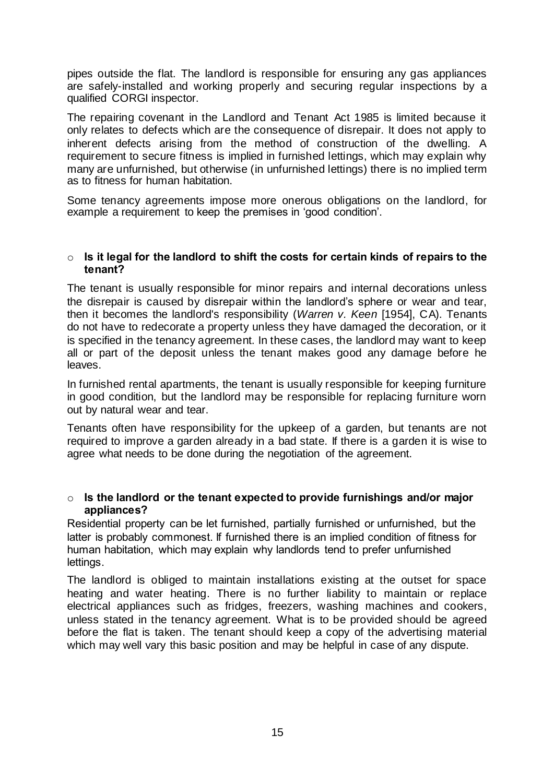pipes outside the flat. The landlord is responsible for ensuring any gas appliances are safely-installed and working properly and securing regular inspections by a qualified CORGI inspector.

The repairing covenant in the Landlord and Tenant Act 1985 is limited because it only relates to defects which are the consequence of disrepair. It does not apply to inherent defects arising from the method of construction of the dwelling. A requirement to secure fitness is implied in furnished lettings, which may explain why many are unfurnished, but otherwise (in unfurnished lettings) there is no implied term as to fitness for human habitation.

Some tenancy agreements impose more onerous obligations on the landlord, for example a requirement to keep the premises in 'good condition'.

#### o **Is it legal for the landlord to shift the costs for certain kinds of repairs to the tenant?**

The tenant is usually responsible for minor repairs and internal decorations unless the disrepair is caused by disrepair within the landlord's sphere or wear and tear, then it becomes the landlord's responsibility (*Warren v. Keen* [1954], CA). Tenants do not have to redecorate a property unless they have damaged the decoration, or it is specified in the tenancy agreement. In these cases, the landlord may want to keep all or part of the deposit unless the tenant makes good any damage before he leaves.

In furnished rental apartments, the tenant is usually responsible for keeping furniture in good condition, but the landlord may be responsible for replacing furniture worn out by natural wear and tear.

Tenants often have responsibility for the upkeep of a garden, but tenants are not required to improve a garden already in a bad state. If there is a garden it is wise to agree what needs to be done during the negotiation of the agreement.

#### o **Is the landlord or the tenant expected to provide furnishings and/or major appliances?**

Residential property can be let furnished, partially furnished or unfurnished, but the latter is probably commonest. If furnished there is an implied condition of fitness for human habitation, which may explain why landlords tend to prefer unfurnished lettings.

The landlord is obliged to maintain installations existing at the outset for space heating and water heating. There is no further liability to maintain or replace electrical appliances such as fridges, freezers, washing machines and cookers, unless stated in the tenancy agreement. What is to be provided should be agreed before the flat is taken. The tenant should keep a copy of the advertising material which may well vary this basic position and may be helpful in case of any dispute.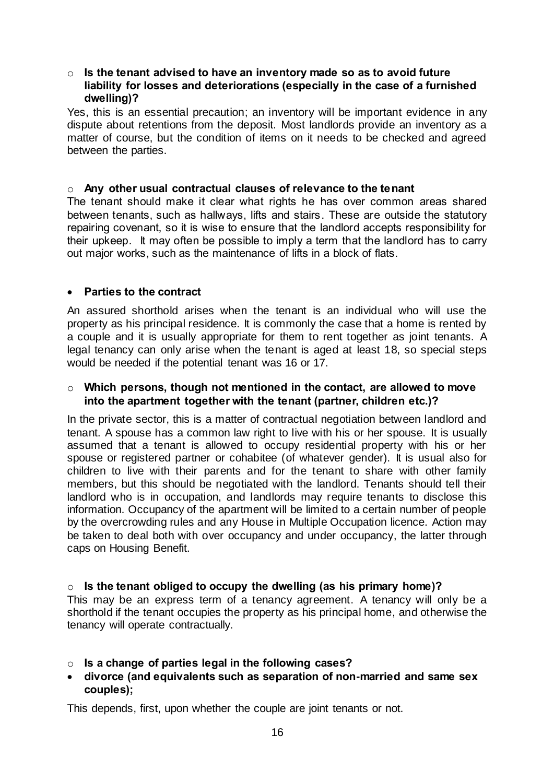#### o **Is the tenant advised to have an inventory made so as to avoid future liability for losses and deteriorations (especially in the case of a furnished dwelling)?**

Yes, this is an essential precaution; an inventory will be important evidence in any dispute about retentions from the deposit. Most landlords provide an inventory as a matter of course, but the condition of items on it needs to be checked and agreed between the parties.

#### o **Any other usual contractual clauses of relevance to the tenant**

The tenant should make it clear what rights he has over common areas shared between tenants, such as hallways, lifts and stairs. These are outside the statutory repairing covenant, so it is wise to ensure that the landlord accepts responsibility for their upkeep. It may often be possible to imply a term that the landlord has to carry out major works, such as the maintenance of lifts in a block of flats.

#### **Parties to the contract**

An assured shorthold arises when the tenant is an individual who will use the property as his principal residence. It is commonly the case that a home is rented by a couple and it is usually appropriate for them to rent together as joint tenants. A legal tenancy can only arise when the tenant is aged at least 18, so special steps would be needed if the potential tenant was 16 or 17.

#### o **Which persons, though not mentioned in the contact, are allowed to move into the apartment together with the tenant (partner, children etc.)?**

In the private sector, this is a matter of contractual negotiation between landlord and tenant. A spouse has a common law right to live with his or her spouse. It is usually assumed that a tenant is allowed to occupy residential property with his or her spouse or registered partner or cohabitee (of whatever gender). It is usual also for children to live with their parents and for the tenant to share with other family members, but this should be negotiated with the landlord. Tenants should tell their landlord who is in occupation, and landlords may require tenants to disclose this information. Occupancy of the apartment will be limited to a certain number of people by the overcrowding rules and any House in Multiple Occupation licence. Action may be taken to deal both with over occupancy and under occupancy, the latter through caps on Housing Benefit.

### o **Is the tenant obliged to occupy the dwelling (as his primary home)?**

This may be an express term of a tenancy agreement. A tenancy will only be a shorthold if the tenant occupies the property as his principal home, and otherwise the tenancy will operate contractually.

- o **Is a change of parties legal in the following cases?**
- **divorce (and equivalents such as separation of non-married and same sex couples);**

This depends, first, upon whether the couple are joint tenants or not.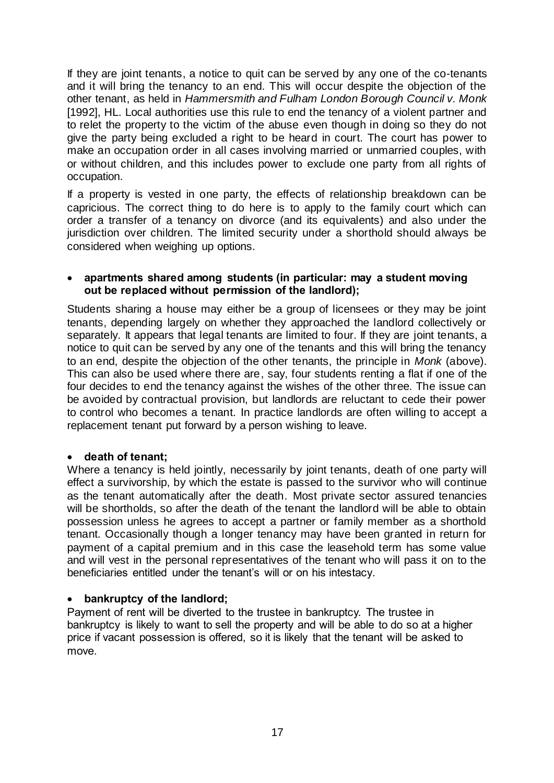If they are joint tenants, a notice to quit can be served by any one of the co-tenants and it will bring the tenancy to an end. This will occur despite the objection of the other tenant, as held in *Hammersmith and Fulham London Borough Council v. Monk* [1992], HL. Local authorities use this rule to end the tenancy of a violent partner and to relet the property to the victim of the abuse even though in doing so they do not give the party being excluded a right to be heard in court. The court has power to make an occupation order in all cases involving married or unmarried couples, with or without children, and this includes power to exclude one party from all rights of occupation.

If a property is vested in one party, the effects of relationship breakdown can be capricious. The correct thing to do here is to apply to the family court which can order a transfer of a tenancy on divorce (and its equivalents) and also under the jurisdiction over children. The limited security under a shorthold should always be considered when weighing up options.

#### **apartments shared among students (in particular: may a student moving out be replaced without permission of the landlord);**

Students sharing a house may either be a group of licensees or they may be joint tenants, depending largely on whether they approached the landlord collectively or separately. It appears that legal tenants are limited to four. If they are joint tenants, a notice to quit can be served by any one of the tenants and this will bring the tenancy to an end, despite the objection of the other tenants, the principle in *Monk* (above). This can also be used where there are, say, four students renting a flat if one of the four decides to end the tenancy against the wishes of the other three. The issue can be avoided by contractual provision, but landlords are reluctant to cede their power to control who becomes a tenant. In practice landlords are often willing to accept a replacement tenant put forward by a person wishing to leave.

### **death of tenant;**

Where a tenancy is held jointly, necessarily by joint tenants, death of one party will effect a survivorship, by which the estate is passed to the survivor who will continue as the tenant automatically after the death. Most private sector assured tenancies will be shortholds, so after the death of the tenant the landlord will be able to obtain possession unless he agrees to accept a partner or family member as a shorthold tenant. Occasionally though a longer tenancy may have been granted in return for payment of a capital premium and in this case the leasehold term has some value and will vest in the personal representatives of the tenant who will pass it on to the beneficiaries entitled under the tenant's will or on his intestacy.

### **bankruptcy of the landlord;**

Payment of rent will be diverted to the trustee in bankruptcy. The trustee in bankruptcy is likely to want to sell the property and will be able to do so at a higher price if vacant possession is offered, so it is likely that the tenant will be asked to move.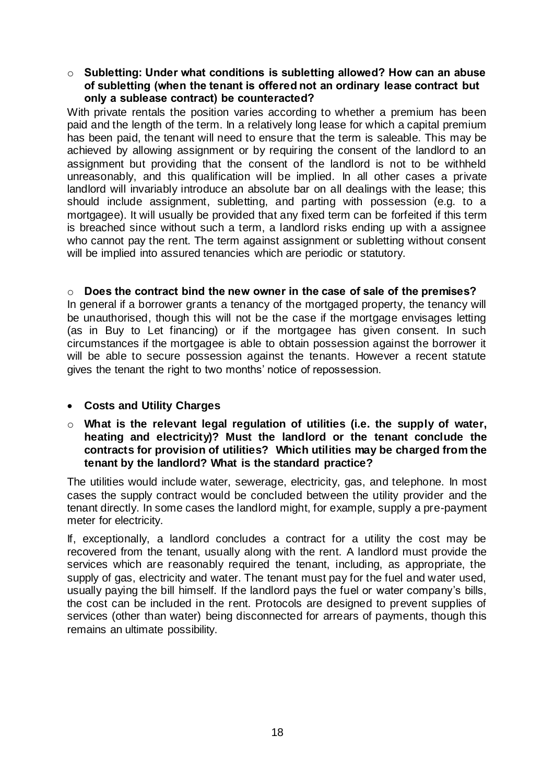#### o **Subletting: Under what conditions is subletting allowed? How can an abuse of subletting (when the tenant is offered not an ordinary lease contract but only a sublease contract) be counteracted?**

With private rentals the position varies according to whether a premium has been paid and the length of the term. In a relatively long lease for which a capital premium has been paid, the tenant will need to ensure that the term is saleable. This may be achieved by allowing assignment or by requiring the consent of the landlord to an assignment but providing that the consent of the landlord is not to be withheld unreasonably, and this qualification will be implied. In all other cases a private landlord will invariably introduce an absolute bar on all dealings with the lease; this should include assignment, subletting, and parting with possession (e.g. to a mortgagee). It will usually be provided that any fixed term can be forfeited if this term is breached since without such a term, a landlord risks ending up with a assignee who cannot pay the rent. The term against assignment or subletting without consent will be implied into assured tenancies which are periodic or statutory.

o **Does the contract bind the new owner in the case of sale of the premises?** In general if a borrower grants a tenancy of the mortgaged property, the tenancy will be unauthorised, though this will not be the case if the mortgage envisages letting (as in Buy to Let financing) or if the mortgagee has given consent. In such circumstances if the mortgagee is able to obtain possession against the borrower it will be able to secure possession against the tenants. However a recent statute gives the tenant the right to two months' notice of repossession.

### **Costs and Utility Charges**

o **What is the relevant legal regulation of utilities (i.e. the supply of water, heating and electricity)? Must the landlord or the tenant conclude the contracts for provision of utilities? Which utilities may be charged from the tenant by the landlord? What is the standard practice?**

The utilities would include water, sewerage, electricity, gas, and telephone. In most cases the supply contract would be concluded between the utility provider and the tenant directly. In some cases the landlord might, for example, supply a pre-payment meter for electricity.

If, exceptionally, a landlord concludes a contract for a utility the cost may be recovered from the tenant, usually along with the rent. A landlord must provide the services which are reasonably required the tenant, including, as appropriate, the supply of gas, electricity and water. The tenant must pay for the fuel and water used, usually paying the bill himself. If the landlord pays the fuel or water company's bills, the cost can be included in the rent. Protocols are designed to prevent supplies of services (other than water) being disconnected for arrears of payments, though this remains an ultimate possibility.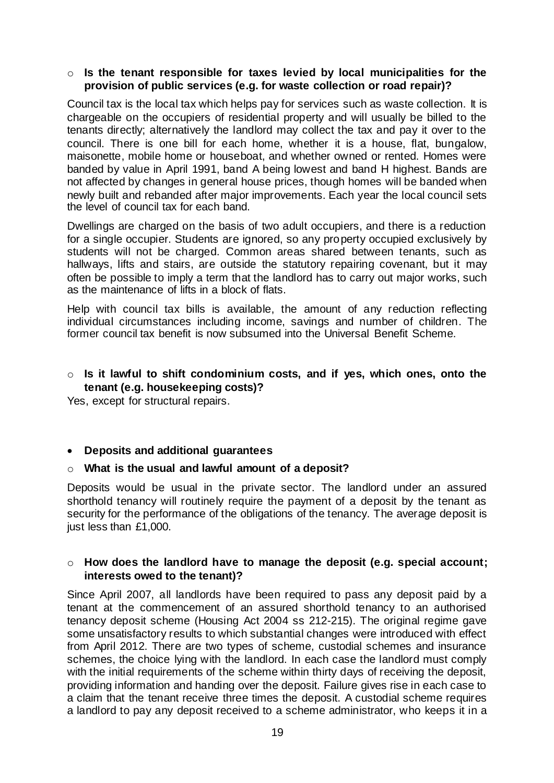#### o **Is the tenant responsible for taxes levied by local municipalities for the provision of public services (e.g. for waste collection or road repair)?**

Council tax is the local tax which helps pay for services such as waste collection. It is chargeable on the occupiers of residential property and will usually be billed to the tenants directly; alternatively the landlord may collect the tax and pay it over to the council. There is one bill for each home, whether it is a house, flat, bungalow, maisonette, mobile home or houseboat, and whether owned or rented. Homes were banded by value in April 1991, band A being lowest and band H highest. Bands are not affected by changes in general house prices, though homes will be banded when newly built and rebanded after major improvements. Each year the local council sets the level of council tax for each band.

Dwellings are charged on the basis of two adult occupiers, and there is a reduction for a single occupier. Students are ignored, so any property occupied exclusively by students will not be charged. Common areas shared between tenants, such as hallways, lifts and stairs, are outside the statutory repairing covenant, but it may often be possible to imply a term that the landlord has to carry out major works, such as the maintenance of lifts in a block of flats.

Help with council tax bills is available, the amount of any reduction reflecting individual circumstances including income, savings and number of children. The former council tax benefit is now subsumed into the Universal Benefit Scheme.

### o **Is it lawful to shift condominium costs, and if yes, which ones, onto the tenant (e.g. housekeeping costs)?**

Yes, except for structural repairs.

### **Deposits and additional guarantees**

#### o **What is the usual and lawful amount of a deposit?**

Deposits would be usual in the private sector. The landlord under an assured shorthold tenancy will routinely require the payment of a deposit by the tenant as security for the performance of the obligations of the tenancy. The average deposit is just less than £1,000.

### o **How does the landlord have to manage the deposit (e.g. special account; interests owed to the tenant)?**

Since April 2007, all landlords have been required to pass any deposit paid by a tenant at the commencement of an assured shorthold tenancy to an authorised tenancy deposit scheme (Housing Act 2004 ss 212-215). The original regime gave some unsatisfactory results to which substantial changes were introduced with effect from April 2012. There are two types of scheme, custodial schemes and insurance schemes, the choice lying with the landlord. In each case the landlord must comply with the initial requirements of the scheme within thirty days of receiving the deposit, providing information and handing over the deposit. Failure gives rise in each case to a claim that the tenant receive three times the deposit. A custodial scheme requires a landlord to pay any deposit received to a scheme administrator, who keeps it in a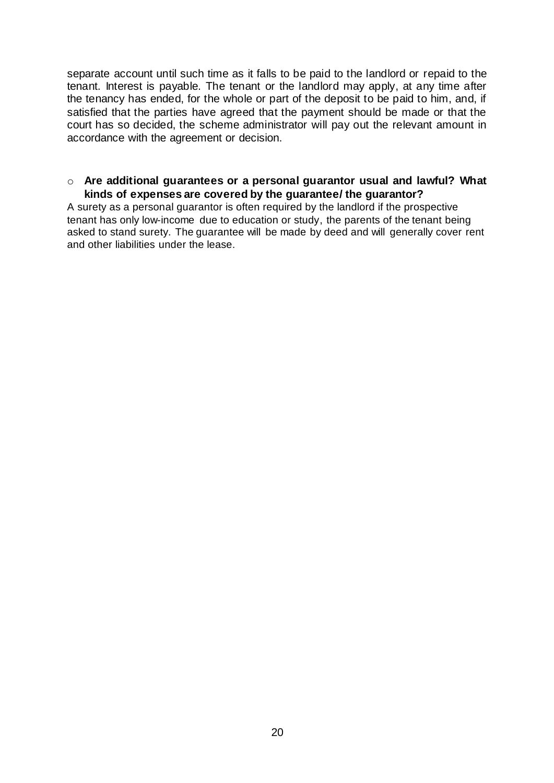separate account until such time as it falls to be paid to the landlord or repaid to the tenant. Interest is payable. The tenant or the landlord may apply, at any time after the tenancy has ended, for the whole or part of the deposit to be paid to him, and, if satisfied that the parties have agreed that the payment should be made or that the court has so decided, the scheme administrator will pay out the relevant amount in accordance with the agreement or decision.

#### o **Are additional guarantees or a personal guarantor usual and lawful? What kinds of expenses are covered by the guarantee/ the guarantor?**

A surety as a personal guarantor is often required by the landlord if the prospective tenant has only low-income due to education or study, the parents of the tenant being asked to stand surety. The guarantee will be made by deed and will generally cover rent and other liabilities under the lease.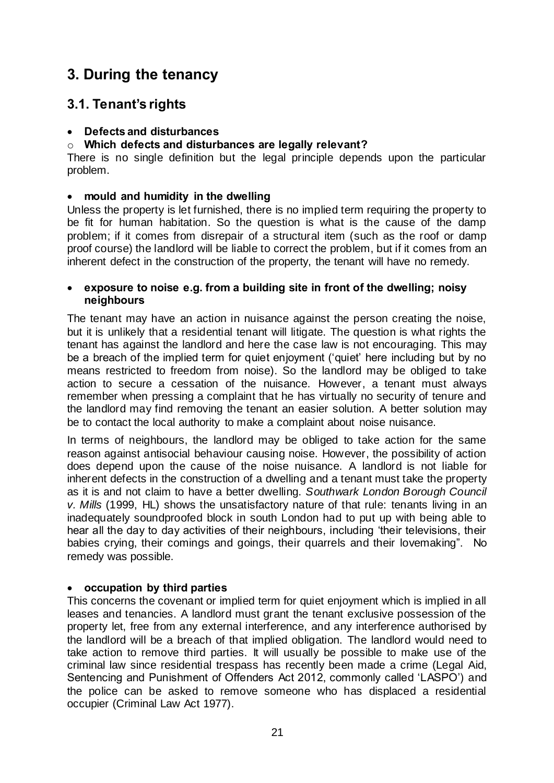# **3. During the tenancy**

# **3.1. Tenant's rights**

### **Defects and disturbances**

### o **Which defects and disturbances are legally relevant?**

There is no single definition but the legal principle depends upon the particular problem.

### **mould and humidity in the dwelling**

Unless the property is let furnished, there is no implied term requiring the property to be fit for human habitation. So the question is what is the cause of the damp problem; if it comes from disrepair of a structural item (such as the roof or damp proof course) the landlord will be liable to correct the problem, but if it comes from an inherent defect in the construction of the property, the tenant will have no remedy.

### **exposure to noise e.g. from a building site in front of the dwelling; noisy neighbours**

The tenant may have an action in nuisance against the person creating the noise, but it is unlikely that a residential tenant will litigate. The question is what rights the tenant has against the landlord and here the case law is not encouraging. This may be a breach of the implied term for quiet enjoyment ('quiet' here including but by no means restricted to freedom from noise). So the landlord may be obliged to take action to secure a cessation of the nuisance. However, a tenant must always remember when pressing a complaint that he has virtually no security of tenure and the landlord may find removing the tenant an easier solution. A better solution may be to contact the local authority to make a complaint about noise nuisance.

In terms of neighbours, the landlord may be obliged to take action for the same reason against antisocial behaviour causing noise. However, the possibility of action does depend upon the cause of the noise nuisance. A landlord is not liable for inherent defects in the construction of a dwelling and a tenant must take the property as it is and not claim to have a better dwelling. *Southwark London Borough Council v. Mills* (1999, HL) shows the unsatisfactory nature of that rule: tenants living in an inadequately soundproofed block in south London had to put up with being able to hear all the day to day activities of their neighbours, including 'their televisions, their babies crying, their comings and goings, their quarrels and their lovemaking". No remedy was possible.

### **occupation by third parties**

This concerns the covenant or implied term for quiet enjoyment which is implied in all leases and tenancies. A landlord must grant the tenant exclusive possession of the property let, free from any external interference, and any interference authorised by the landlord will be a breach of that implied obligation. The landlord would need to take action to remove third parties. It will usually be possible to make use of the criminal law since residential trespass has recently been made a crime (Legal Aid, Sentencing and Punishment of Offenders Act 2012, commonly called 'LASPO') and the police can be asked to remove someone who has displaced a residential occupier (Criminal Law Act 1977).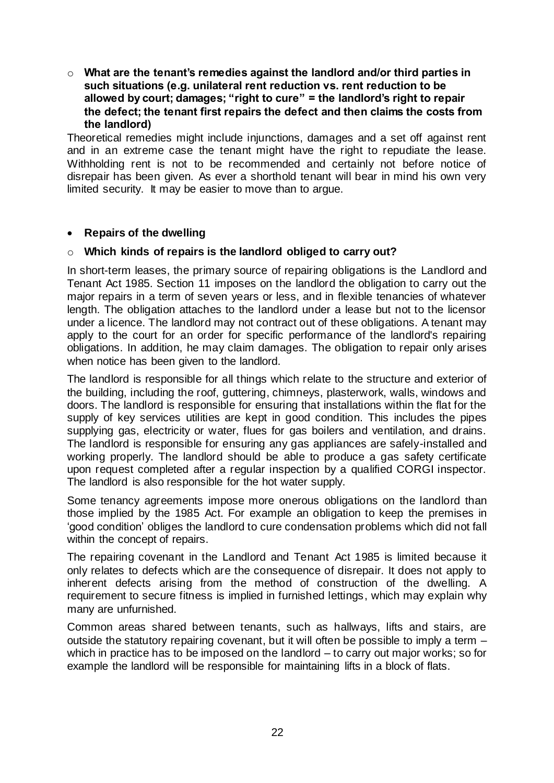o **What are the tenant's remedies against the landlord and/or third parties in such situations (e.g. unilateral rent reduction vs. rent reduction to be allowed by court; damages; "right to cure" = the landlord's right to repair the defect; the tenant first repairs the defect and then claims the costs from the landlord)**

Theoretical remedies might include injunctions, damages and a set off against rent and in an extreme case the tenant might have the right to repudiate the lease. Withholding rent is not to be recommended and certainly not before notice of disrepair has been given. As ever a shorthold tenant will bear in mind his own very limited security. It may be easier to move than to argue.

### **Repairs of the dwelling**

### o **Which kinds of repairs is the landlord obliged to carry out?**

In short-term leases, the primary source of repairing obligations is the [Landlord and](http://login.westlaw.co.uk/maf/wluk/app/document?docguid=I601777F0E42311DAA7CF8F68F6EE57AB&context=46&crumb-action=append)  [Tenant Act 1985.](http://login.westlaw.co.uk/maf/wluk/app/document?docguid=I601777F0E42311DAA7CF8F68F6EE57AB&context=46&crumb-action=append) [Section 11 i](http://login.westlaw.co.uk/maf/wluk/app/document?docguid=IA648E980E44A11DA8D70A0E70A78ED65&context=46&crumb-action=append)mposes on the landlord the obligation to carry out the major repairs in a term of seven years or less, and in flexible tenancies of whatever length. The obligation attaches to the landlord under a lease but not to the licensor under a licence. The landlord may not contract out of these obligations. A tenant may apply to the court for an order for specific performance of the landlord's repairing obligations. In addition, he may claim damages. The obligation to repair only arises when notice has been given to the landlord.

The landlord is responsible for all things which relate to the structure and exterior of the building, including the roof, guttering, chimneys, plasterwork, walls, windows and doors. The landlord is responsible for ensuring that installations within the flat for the supply of key services utilities are kept in good condition. This includes the pipes supplying gas, electricity or water, flues for gas boilers and ventilation, and drains. The landlord is responsible for ensuring any gas appliances are safely-installed and working properly. The landlord should be able to produce a gas safety certificate upon request completed after a regular inspection by a qualified CORGI inspector. The landlord is also responsible for the hot water supply.

Some tenancy agreements impose more onerous obligations on the landlord than those implied by the 1985 Act. For example an obligation to keep the premises in 'good condition' obliges the landlord to cure condensation problems which did not fall within the concept of repairs.

The repairing covenant in the Landlord and Tenant Act 1985 is limited because it only relates to defects which are the consequence of disrepair. It does not apply to inherent defects arising from the method of construction of the dwelling. A requirement to secure fitness is implied in furnished lettings, which may explain why many are unfurnished.

Common areas shared between tenants, such as hallways, lifts and stairs, are outside the statutory repairing covenant, but it will often be possible to imply a term – which in practice has to be imposed on the landlord – to carry out major works; so for example the landlord will be responsible for maintaining lifts in a block of flats.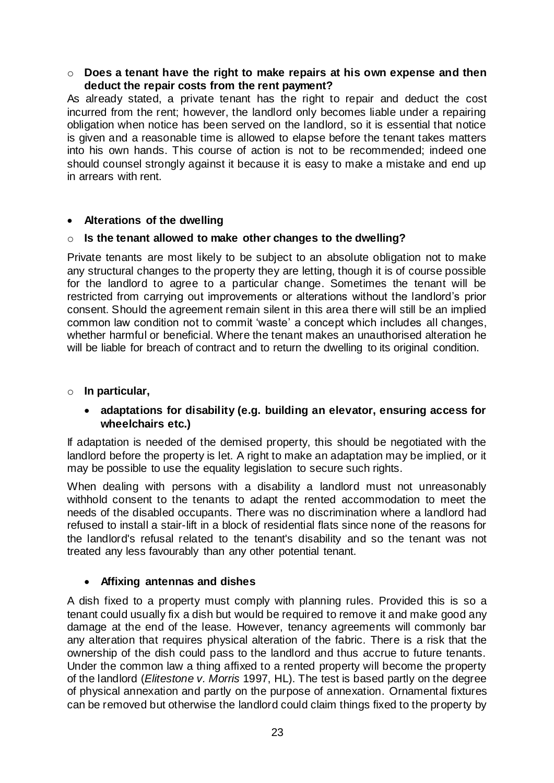### o **Does a tenant have the right to make repairs at his own expense and then deduct the repair costs from the rent payment?**

As already stated, a private tenant has the right to repair and deduct the cost incurred from the rent; however, the landlord only becomes liable under a repairing obligation when notice has been served on the landlord, so it is essential that notice is given and a reasonable time is allowed to elapse before the tenant takes matters into his own hands. This course of action is not to be recommended; indeed one should counsel strongly against it because it is easy to make a mistake and end up in arrears with rent.

### **Alterations of the dwelling**

#### o **Is the tenant allowed to make other changes to the dwelling?**

Private tenants are most likely to be subject to an absolute obligation not to make any structural changes to the property they are letting, though it is of course possible for the landlord to agree to a particular change. Sometimes the tenant will be restricted from carrying out improvements or alterations without the landlord's prior consent. Should the agreement remain silent in this area there will still be an implied common law condition not to commit 'waste' a concept which includes all changes, whether harmful or beneficial. Where the tenant makes an unauthorised alteration he will be liable for breach of contract and to return the dwelling to its original condition.

#### o **In particular,**

### **adaptations for disability (e.g. building an elevator, ensuring access for wheelchairs etc.)**

If adaptation is needed of the demised property, this should be negotiated with the landlord before the property is let. A right to make an adaptation may be implied, or it may be possible to use the equality legislation to secure such rights.

When dealing with persons with a disability a landlord must not unreasonably withhold consent to the tenants to adapt the rented accommodation to meet the needs of the disabled occupants. There was no discrimination where a landlord had refused to install a stair-lift in a block of residential flats since none of the reasons for the landlord's refusal related to the tenant's disability and so the tenant was not treated any less favourably than any other potential tenant.

### **Affixing antennas and dishes**

A dish fixed to a property must comply with planning rules. Provided this is so a tenant could usually fix a dish but would be required to remove it and make good any damage at the end of the lease. However, tenancy agreements will commonly bar any alteration that requires physical alteration of the fabric. There is a risk that the ownership of the dish could pass to the landlord and thus accrue to future tenants. Under the common law a thing affixed to a rented property will become the property of the landlord (*Elitestone v. Morris* 1997, HL). The test is based partly on the degree of physical annexation and partly on the purpose of annexation. Ornamental fixtures can be removed but otherwise the landlord could claim things fixed to the property by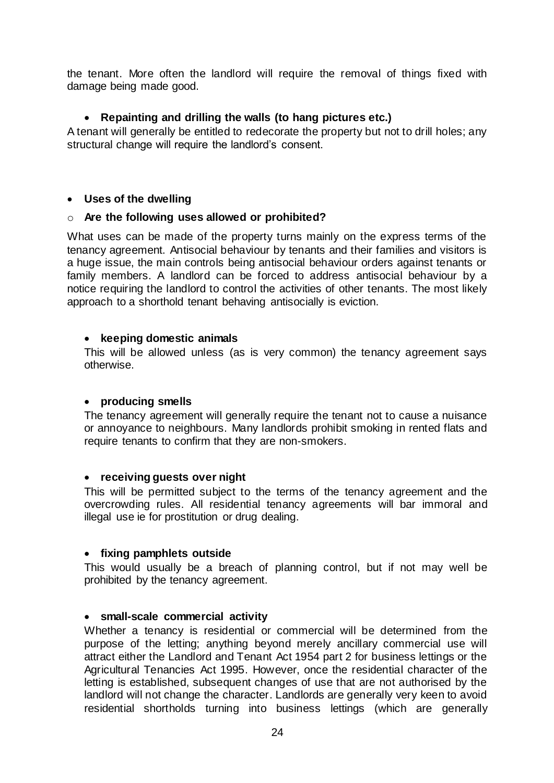the tenant. More often the landlord will require the removal of things fixed with damage being made good.

### **Repainting and drilling the walls (to hang pictures etc.)**

A tenant will generally be entitled to redecorate the property but not to drill holes; any structural change will require the landlord's consent.

### **Uses of the dwelling**

### o **Are the following uses allowed or prohibited?**

What uses can be made of the property turns mainly on the express terms of the tenancy agreement. Antisocial behaviour by tenants and their families and visitors is a huge issue, the main controls being antisocial behaviour orders against tenants or family members. A landlord can be forced to address antisocial behaviour by a notice requiring the landlord to control the activities of other tenants. The most likely approach to a shorthold tenant behaving antisocially is eviction.

### **keeping domestic animals**

This will be allowed unless (as is very common) the tenancy agreement says otherwise.

### **producing smells**

The tenancy agreement will generally require the tenant not to cause a nuisance or annoyance to neighbours. Many landlords prohibit smoking in rented flats and require tenants to confirm that they are non-smokers.

### **receiving guests over night**

This will be permitted subject to the terms of the tenancy agreement and the overcrowding rules. All residential tenancy agreements will bar immoral and illegal use ie for prostitution or drug dealing.

### **fixing pamphlets outside**

This would usually be a breach of planning control, but if not may well be prohibited by the tenancy agreement.

### **small-scale commercial activity**

Whether a tenancy is residential or commercial will be determined from the purpose of the letting; anything beyond merely ancillary commercial use will attract either the Landlord and Tenant Act 1954 part 2 for business lettings or the Agricultural Tenancies Act 1995. However, once the residential character of the letting is established, subsequent changes of use that are not authorised by the landlord will not change the character. Landlords are generally very keen to avoid residential shortholds turning into business lettings (which are generally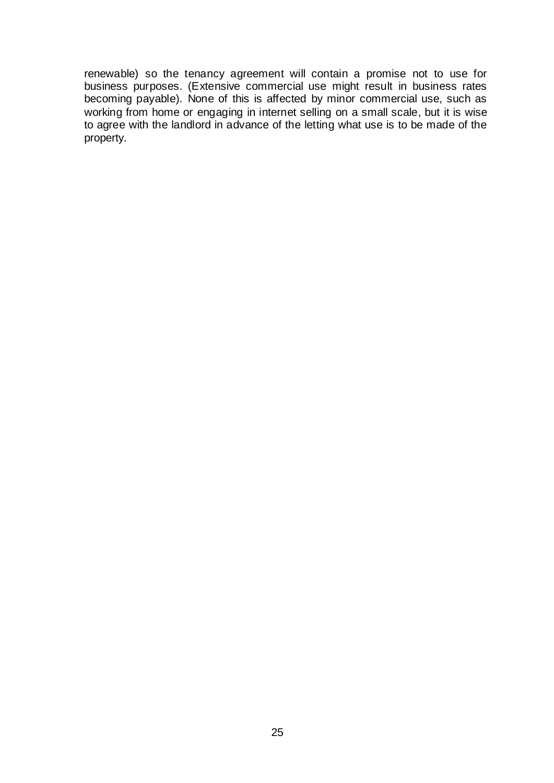renewable) so the tenancy agreement will contain a promise not to use for business purposes. (Extensive commercial use might result in business rates becoming payable). None of this is affected by minor commercial use, such as working from home or engaging in internet selling on a small scale, but it is wise to agree with the landlord in advance of the letting what use is to be made of the property.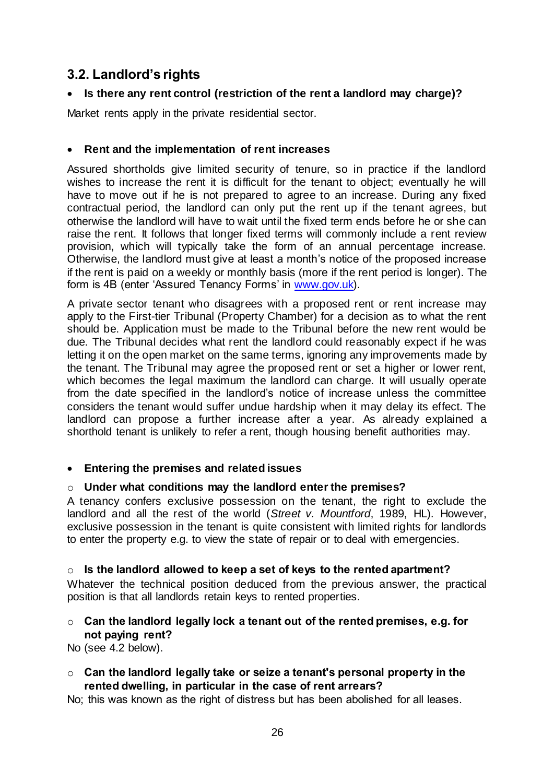# **3.2. Landlord's rights**

### **Is there any rent control (restriction of the rent a landlord may charge)?**

Market rents apply in the private residential sector.

### **Rent and the implementation of rent increases**

Assured shortholds give limited security of tenure, so in practice if the landlord wishes to increase the rent it is difficult for the tenant to object; eventually he will have to move out if he is not prepared to agree to an increase. During any fixed contractual period, the landlord can only put the rent up if the tenant agrees, but otherwise the landlord will have to wait until the fixed term ends before he or she can raise the rent. It follows that longer fixed terms will commonly include a rent review provision, which will typically take the form of an annual percentage increase. Otherwise, the landlord must give at least a month's notice of the proposed increase if the rent is paid on a weekly or monthly basis (more if the rent period is longer). The form is 4B (enter 'Assured Tenancy Forms' in [www.gov.uk\)](http://www.gov.uk/).

A private sector tenant who disagrees with a proposed rent or rent increase may apply to the First-tier Tribunal (Property Chamber) for a decision as to what the rent should be. Application must be made to the Tribunal before the new rent would be due. The Tribunal decides what rent the landlord could reasonably expect if he was letting it on the open market on the same terms, ignoring any improvements made by the tenant. The Tribunal may agree the proposed rent or set a higher or lower rent, which becomes the legal maximum the landlord can charge. It will usually operate from the date specified in the landlord's notice of increase unless the committee considers the tenant would suffer undue hardship when it may delay its effect. The landlord can propose a further increase after a year. As already explained a shorthold tenant is unlikely to refer a rent, though housing benefit authorities may.

### **Entering the premises and related issues**

### o **Under what conditions may the landlord enter the premises?**

A tenancy confers exclusive possession on the tenant, the right to exclude the landlord and all the rest of the world (*Street v. Mountford*, 1989, HL). However, exclusive possession in the tenant is quite consistent with limited rights for landlords to enter the property e.g. to view the state of repair or to deal with emergencies.

### o **Is the landlord allowed to keep a set of keys to the rented apartment?**

Whatever the technical position deduced from the previous answer, the practical position is that all landlords retain keys to rented properties.

### o **Can the landlord legally lock a tenant out of the rented premises, e.g. for not paying rent?**

No (see 4.2 below).

o **Can the landlord legally take or seize a tenant's personal property in the rented dwelling, in particular in the case of rent arrears?**

No; this was known as the right of distress but has been abolished for all leases.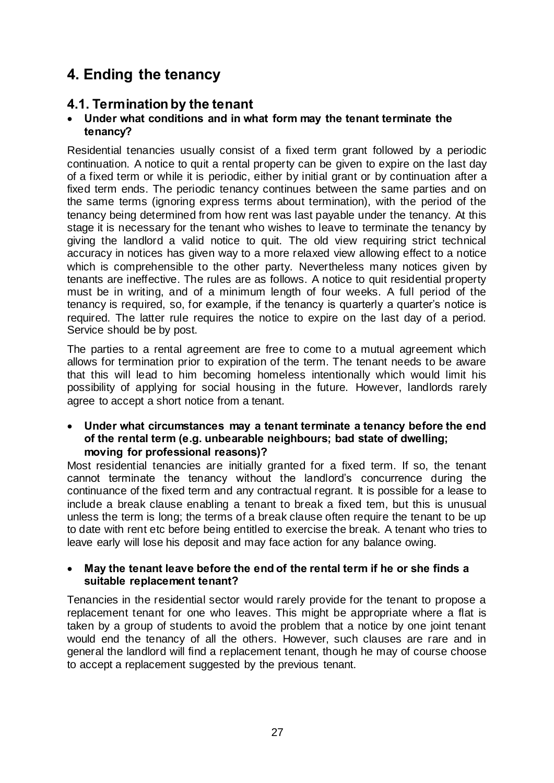# **4. Ending the tenancy**

## **4.1. Termination by the tenant**

### **Under what conditions and in what form may the tenant terminate the tenancy?**

Residential tenancies usually consist of a fixed term grant followed by a periodic continuation. A notice to quit a rental property can be given to expire on the last day of a fixed term or while it is periodic, either by initial grant or by continuation after a fixed term ends. The periodic tenancy continues between the same parties and on the same terms (ignoring express terms about termination), with the period of the tenancy being determined from how rent was last payable under the tenancy. At this stage it is necessary for the tenant who wishes to leave to terminate the tenancy by giving the landlord a valid notice to quit. The old view requiring strict technical accuracy in notices has given way to a more relaxed view allowing effect to a notice which is comprehensible to the other party. Nevertheless many notices given by tenants are ineffective. The rules are as follows. A notice to quit residential property must be in writing, and of a minimum length of four weeks. A full period of the tenancy is required, so, for example, if the tenancy is quarterly a quarter's notice is required. The latter rule requires the notice to expire on the last day of a period. Service should be by post.

The parties to a rental agreement are free to come to a mutual agreement which allows for termination prior to expiration of the term. The tenant needs to be aware that this will lead to him becoming homeless intentionally which would limit his possibility of applying for social housing in the future. However, landlords rarely agree to accept a short notice from a tenant.

 **Under what circumstances may a tenant terminate a tenancy before the end of the rental term (e.g. unbearable neighbours; bad state of dwelling; moving for professional reasons)?**

Most residential tenancies are initially granted for a fixed term. If so, the tenant cannot terminate the tenancy without the landlord's concurrence during the continuance of the fixed term and any contractual regrant. It is possible for a lease to include a break clause enabling a tenant to break a fixed tem, but this is unusual unless the term is long; the terms of a break clause often require the tenant to be up to date with rent etc before being entitled to exercise the break. A tenant who tries to leave early will lose his deposit and may face action for any balance owing.

### **May the tenant leave before the end of the rental term if he or she finds a suitable replacement tenant?**

Tenancies in the residential sector would rarely provide for the tenant to propose a replacement tenant for one who leaves. This might be appropriate where a flat is taken by a group of students to avoid the problem that a notice by one joint tenant would end the tenancy of all the others. However, such clauses are rare and in general the landlord will find a replacement tenant, though he may of course choose to accept a replacement suggested by the previous tenant.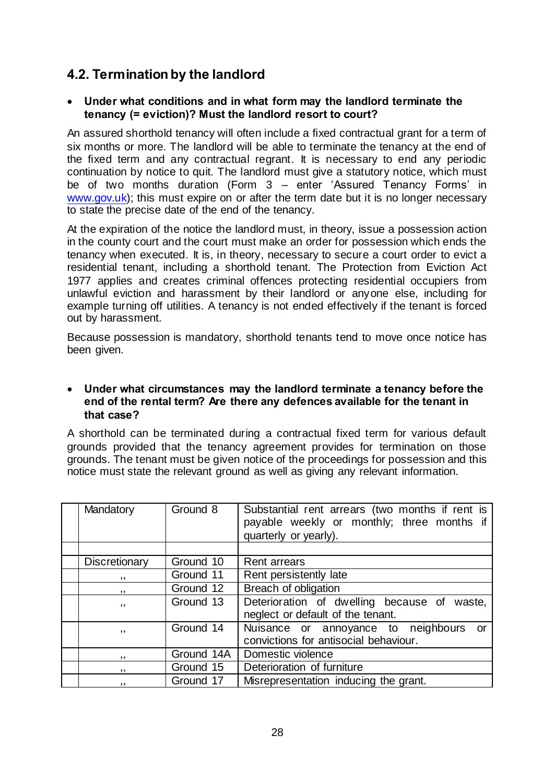## **4.2. Termination by the landlord**

### **Under what conditions and in what form may the landlord terminate the tenancy (= eviction)? Must the landlord resort to court?**

An assured shorthold tenancy will often include a fixed contractual grant for a term of six months or more. The landlord will be able to terminate the tenancy at the end of the fixed term and any contractual regrant. It is necessary to end any periodic continuation by notice to quit. The landlord must give a statutory notice, which must be of two months duration (Form 3 – enter 'Assured Tenancy Forms' in [www.gov.uk\)](http://www.gov.uk/); this must expire on or after the term date but it is no longer necessary to state the precise date of the end of the tenancy.

At the expiration of the notice the landlord must, in theory, issue a possession action in the county court and the court must make an order for possession which ends the tenancy when executed. It is, in theory, necessary to secure a court order to evict a residential tenant, including a shorthold tenant. The [Protection from Eviction Act](http://login.westlaw.co.uk/maf/wluk/app/document?docguid=I60425880E42311DAA7CF8F68F6EE57AB&context=45&crumb-action=append)  [1977](http://login.westlaw.co.uk/maf/wluk/app/document?docguid=I60425880E42311DAA7CF8F68F6EE57AB&context=45&crumb-action=append) applies and creates criminal offences protecting residential occupiers from unlawful eviction and harassment by their landlord or anyone else, including for example turning off utilities. A tenancy is not ended effectively if the tenant is forced out by harassment.

Because possession is mandatory, shorthold tenants tend to move once notice has been given.

#### **Under what circumstances may the landlord terminate a tenancy before the end of the rental term? Are there any defences available for the tenant in that case?**

A shorthold can be terminated during a contractual fixed term for various default grounds provided that the tenancy agreement provides for termination on those grounds. The tenant must be given notice of the proceedings for possession and this notice must state the relevant ground as well as giving any relevant information.

| Mandatory     | Ground 8   | Substantial rent arrears (two months if rent is<br>payable weekly or monthly; three months if<br>quarterly or yearly). |
|---------------|------------|------------------------------------------------------------------------------------------------------------------------|
|               |            |                                                                                                                        |
| Discretionary | Ground 10  | <b>Rent arrears</b>                                                                                                    |
| ,,            | Ground 11  | Rent persistently late                                                                                                 |
| ,,            | Ground 12  | Breach of obligation                                                                                                   |
| ,,            | Ground 13  | Deterioration of dwelling because of waste,<br>neglect or default of the tenant.                                       |
| , ,           | Ground 14  | Nuisance or annoyance to neighbours or<br>convictions for antisocial behaviour.                                        |
| ,,            | Ground 14A | Domestic violence                                                                                                      |
| ,,            | Ground 15  | Deterioration of furniture                                                                                             |
| ,,            | Ground 17  | Misrepresentation inducing the grant.                                                                                  |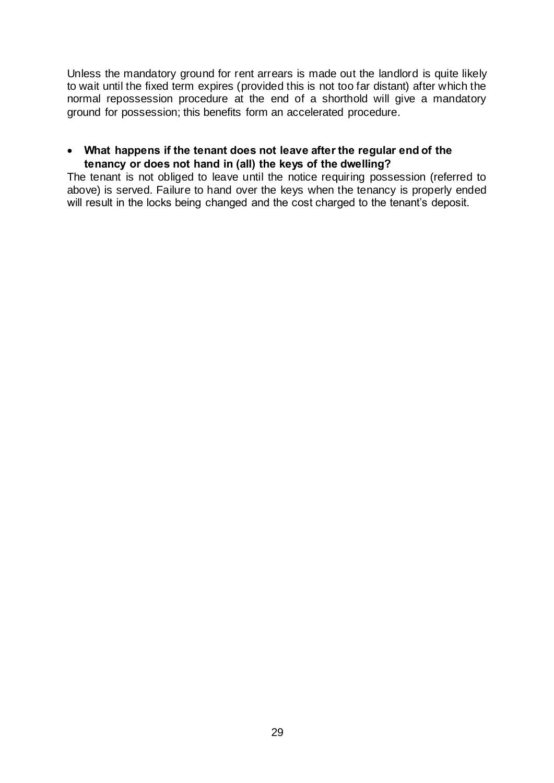Unless the mandatory ground for rent arrears is made out the landlord is quite likely to wait until the fixed term expires (provided this is not too far distant) after which the normal repossession procedure at the end of a shorthold will give a mandatory ground for possession; this benefits form an accelerated procedure.

### **What happens if the tenant does not leave after the regular end of the tenancy or does not hand in (all) the keys of the dwelling?**

The tenant is not obliged to leave until the notice requiring possession (referred to above) is served. Failure to hand over the keys when the tenancy is properly ended will result in the locks being changed and the cost charged to the tenant's deposit.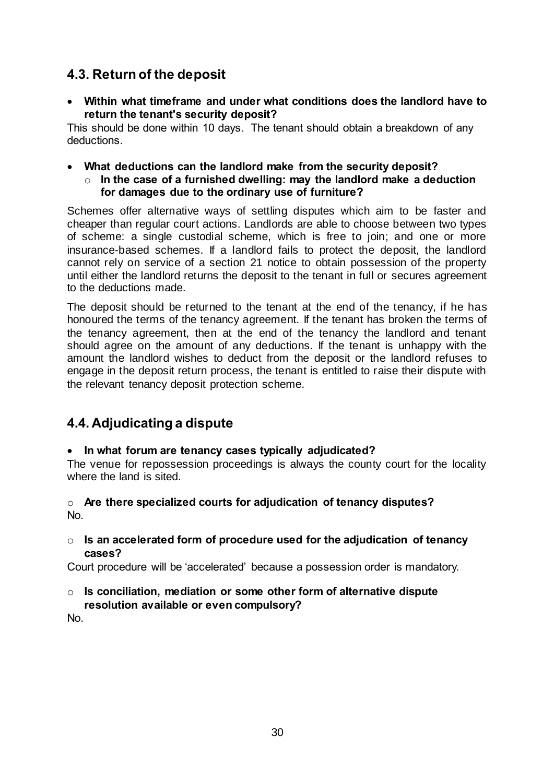# **4.3. Return of the deposit**

 **Within what timeframe and under what conditions does the landlord have to return the tenant's security deposit?** 

This should be done within 10 days. The tenant should obtain a breakdown of any deductions.

- **What deductions can the landlord make from the security deposit?**
	- o **In the case of a furnished dwelling: may the landlord make a deduction for damages due to the ordinary use of furniture?**

Schemes offer alternative ways of settling disputes which aim to be faster and cheaper than regular court actions. Landlords are able to choose between two types of scheme: a single custodial scheme, which is free to join; and one or more insurance-based schemes. If a landlord fails to protect the deposit, the landlord cannot rely on service of a section 21 notice to obtain possession of the property until either the landlord returns the deposit to the tenant in full or secures agreement to the deductions made.

The deposit should be returned to the tenant at the end of the tenancy, if he has honoured the terms of the tenancy agreement. If the tenant has broken the terms of the tenancy agreement, then at the end of the tenancy the landlord and tenant should agree on the amount of any deductions. If the tenant is unhappy with the amount the landlord wishes to deduct from the deposit or the landlord refuses to engage in the deposit return process, the tenant is entitled to raise their dispute with the relevant tenancy deposit protection scheme.

# **4.4. Adjudicating a dispute**

### **In what forum are tenancy cases typically adjudicated?**

The venue for repossession proceedings is always the county court for the locality where the land is sited.

### o **Are there specialized courts for adjudication of tenancy disputes?**  No.

o **Is an accelerated form of procedure used for the adjudication of tenancy cases?**

Court procedure will be 'accelerated' because a possession order is mandatory.

o **Is conciliation, mediation or some other form of alternative dispute resolution available or even compulsory?**

No.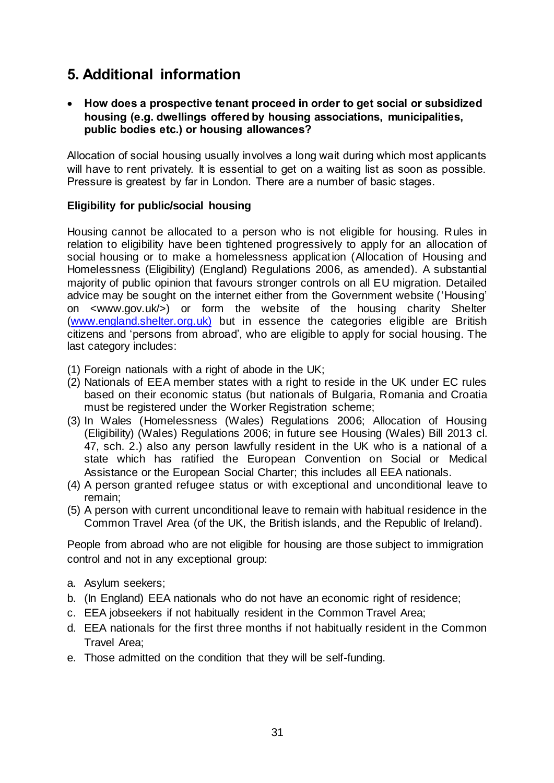# **5. Additional information**

 **How does a prospective tenant proceed in order to get social or subsidized housing (e.g. dwellings offered by housing associations, municipalities, public bodies etc.) or housing allowances?**

Allocation of social housing usually involves a long wait during which most applicants will have to rent privately. It is essential to get on a waiting list as soon as possible. Pressure is greatest by far in London. There are a number of basic stages.

### **Eligibility for public/social housing**

Housing cannot be allocated to a person who is not eligible for housing. Rules in relation to eligibility have been tightened progressively to apply for an allocation of social housing or to make a homelessness application (Allocation of Housing and Homelessness (Eligibility) (England) Regulations 2006, as amended). A substantial majority of public opinion that favours stronger controls on all EU migration. Detailed advice may be sought on the internet either from the Government website ('Housing' on <www.gov.uk/>) or form the website of the housing charity Shelter [\(www.england.shelter.org.uk\)](http://www.england.shelter.org.uk/) but in essence the categories eligible are British citizens and 'persons from abroad', who are eligible to apply for social housing. The last category includes:

- (1) Foreign nationals with a right of abode in the UK;
- (2) Nationals of EEA member states with a right to reside in the UK under EC rules based on their economic status (but nationals of Bulgaria, Romania and Croatia must be registered under the Worker Registration scheme;
- (3) In Wales (Homelessness (Wales) Regulations 2006; Allocation of Housing (Eligibility) (Wales) Regulations 2006; in future see Housing (Wales) Bill 2013 cl. 47, sch. 2.) also any person lawfully resident in the UK who is a national of a state which has ratified the European Convention on Social or Medical Assistance or the European Social Charter; this includes all EEA nationals.
- (4) A person granted refugee status or with exceptional and unconditional leave to remain;
- (5) A person with current unconditional leave to remain with habitual residence in the Common Travel Area (of the UK, the British islands, and the Republic of Ireland).

People from abroad who are not eligible for housing are those subject to immigration control and not in any exceptional group:

- a. Asylum seekers;
- b. (In England) EEA nationals who do not have an economic right of residence;
- c. EEA jobseekers if not habitually resident in the Common Travel Area;
- d. EEA nationals for the first three months if not habitually resident in the Common Travel Area;
- e. Those admitted on the condition that they will be self-funding.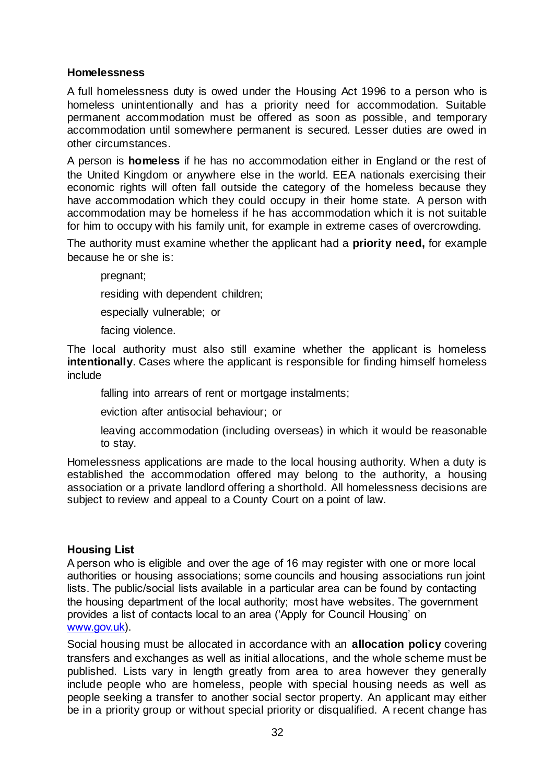### **Homelessness**

A full homelessness duty is owed under the Housing Act 1996 to a person who is homeless unintentionally and has a priority need for accommodation. Suitable permanent accommodation must be offered as soon as possible, and temporary accommodation until somewhere permanent is secured. Lesser duties are owed in other circumstances.

A person is **homeless** if he has no accommodation either in England or the rest of the United Kingdom or anywhere else in the world. EEA nationals exercising their economic rights will often fall outside the category of the homeless because they have accommodation which they could occupy in their home state. A person with accommodation may be homeless if he has accommodation which it is not suitable for him to occupy with his family unit, for example in extreme cases of overcrowding.

The authority must examine whether the applicant had a **priority need,** for example because he or she is:

pregnant;

residing with dependent children;

especially vulnerable; or

facing violence.

The local authority must also still examine whether the applicant is homeless **intentionally**. Cases where the applicant is responsible for finding himself homeless include

falling into arrears of rent or mortgage instalments;

eviction after antisocial behaviour; or

leaving accommodation (including overseas) in which it would be reasonable to stay.

Homelessness applications are made to the local housing authority. When a duty is established the accommodation offered may belong to the authority, a housing association or a private landlord offering a shorthold. All homelessness decisions are subject to review and appeal to a County Court on a point of law.

### **Housing List**

A person who is eligible and over the age of 16 may register with one or more local authorities or housing associations; some councils and housing associations run joint lists. The public/social lists available in a particular area can be found by contacting the housing department of the local authority; most have websites. The government provides a list of contacts local to an area ('Apply for Council Housing' on [www.gov.uk\)](http://www.gov.uk/).

Social housing must be allocated in accordance with an **allocation policy** covering transfers and exchanges as well as initial allocations, and the whole scheme must be published. Lists vary in length greatly from area to area however they generally include people who are homeless, people with special housing needs as well as people seeking a transfer to another social sector property. An applicant may either be in a priority group or without special priority or disqualified. A recent change has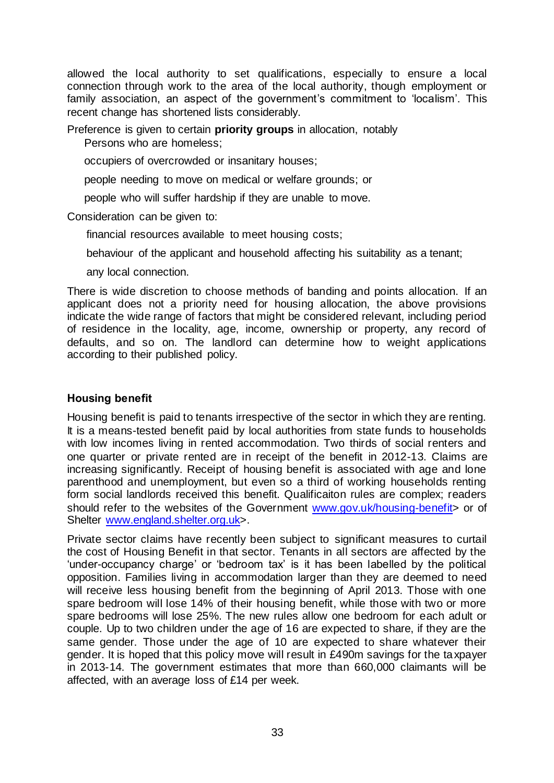allowed the local authority to set qualifications, especially to ensure a local connection through work to the area of the local authority, though employment or family association, an aspect of the government's commitment to 'localism'. This recent change has shortened lists considerably.

Preference is given to certain **priority groups** in allocation, notably Persons who are homeless;

occupiers of overcrowded or insanitary houses;

people needing to move on medical or welfare grounds; or

people who will suffer hardship if they are unable to move.

Consideration can be given to:

financial resources available to meet housing costs;

behaviour of the applicant and household affecting his suitability as a tenant;

any local connection.

There is wide discretion to choose methods of banding and points allocation. If an applicant does not a priority need for housing allocation, the above provisions indicate the wide range of factors that might be considered relevant, including period of residence in the locality, age, income, ownership or property, any record of defaults, and so on. The landlord can determine how to weight applications according to their published policy.

### **Housing benefit**

Housing benefit is paid to tenants irrespective of the sector in which they are renting. It is a means-tested benefit paid by local authorities from state funds to households with low incomes living in rented accommodation. Two thirds of social renters and one quarter or private rented are in receipt of the benefit in 2012-13. Claims are increasing significantly. Receipt of housing benefit is associated with age and lone parenthood and unemployment, but even so a third of working households renting form social landlords received this benefit. Qualificaiton rules are complex; readers should refer to the websites of the Government www.gov.uk/housing-benefit > or of Shelter [www.england.shelter.org.uk>](http://www.england.shelter.org.uk/).

Private sector claims have recently been subject to significant measures to curtail the cost of Housing Benefit in that sector. Tenants in all sectors are affected by the 'under-occupancy charge' or 'bedroom tax' is it has been labelled by the political opposition. Families living in accommodation larger than they are deemed to need will receive less housing benefit from the beginning of April 2013. Those with one spare bedroom will lose 14% of their housing benefit, while those with two or more spare bedrooms will lose 25%. The new rules allow one bedroom for each adult or couple. Up to two children under the age of 16 are expected to share, if they are the same gender. Those under the age of 10 are expected to share whatever their gender. It is hoped that this policy move will result in £490m savings for the taxpayer in 2013-14. The government estimates that more than 660,000 claimants will be affected, with an average loss of £14 per week.